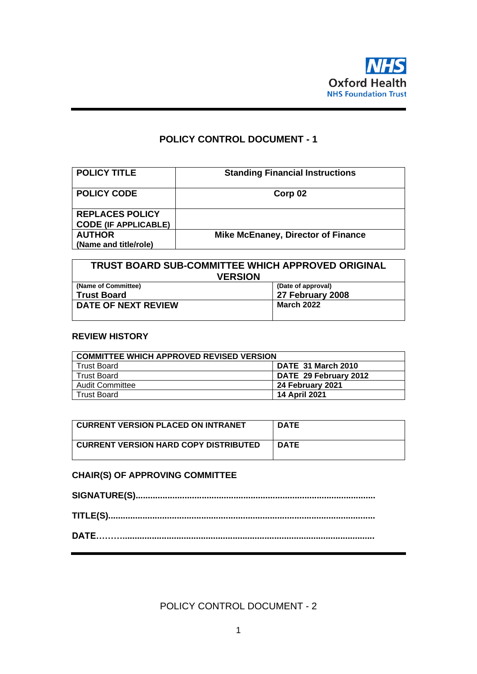

# **POLICY CONTROL DOCUMENT - 1**

| <b>POLICY TITLE</b>         | <b>Standing Financial Instructions</b>    |
|-----------------------------|-------------------------------------------|
| <b>POLICY CODE</b>          | Corp 02                                   |
| <b>REPLACES POLICY</b>      |                                           |
| <b>CODE (IF APPLICABLE)</b> |                                           |
| <b>AUTHOR</b>               | <b>Mike McEnaney, Director of Finance</b> |
| (Name and title/role)       |                                           |

| <b>TRUST BOARD SUB-COMMITTEE WHICH APPROVED ORIGINAL</b> |                   |  |  |  |  |
|----------------------------------------------------------|-------------------|--|--|--|--|
| <b>VERSION</b>                                           |                   |  |  |  |  |
| (Name of Committee)<br>(Date of approval)                |                   |  |  |  |  |
| <b>Trust Board</b>                                       | 27 February 2008  |  |  |  |  |
| DATE OF NEXT REVIEW                                      | <b>March 2022</b> |  |  |  |  |

#### **REVIEW HISTORY**

| <b>COMMITTEE WHICH APPROVED REVISED VERSION</b> |                       |  |  |  |
|-------------------------------------------------|-----------------------|--|--|--|
| <b>Trust Board</b>                              | DATE 31 March 2010    |  |  |  |
| <b>Trust Board</b>                              | DATE 29 February 2012 |  |  |  |
| <b>Audit Committee</b>                          | 24 February 2021      |  |  |  |
| <b>Trust Board</b>                              | 14 April 2021         |  |  |  |

| CURRENT VERSION PLACED ON INTRANET           | <b>DATE</b> |
|----------------------------------------------|-------------|
| <b>CURRENT VERSION HARD COPY DISTRIBUTED</b> | <b>DATE</b> |

### **CHAIR(S) OF APPROVING COMMITTEE**

POLICY CONTROL DOCUMENT - 2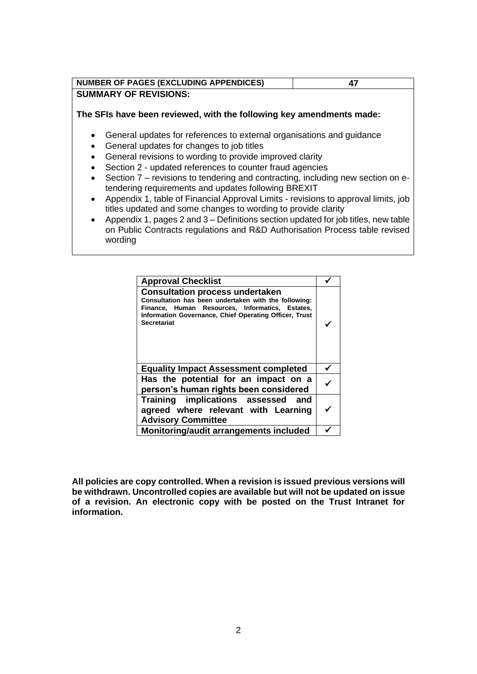| <b>NUMBER OF PAGES (EXCLUDING APPENDICES)</b> |  |
|-----------------------------------------------|--|
| <b>SUMMARY OF REVISIONS:</b>                  |  |

**The SFIs have been reviewed, with the following key amendments made:**

- General updates for references to external organisations and guidance
- General updates for changes to job titles
- General revisions to wording to provide improved clarity
- Section 2 updated references to counter fraud agencies
- Section 7 revisions to tendering and contracting, including new section on etendering requirements and updates following BREXIT
- Appendix 1, table of Financial Approval Limits revisions to approval limits, job titles updated and some changes to wording to provide clarity
- Appendix 1, pages 2 and 3 Definitions section updated for job titles, new table on Public Contracts regulations and R&D Authorisation Process table revised wording

| <b>Approval Checklist</b>                                                                                                                                                                                                         |  |
|-----------------------------------------------------------------------------------------------------------------------------------------------------------------------------------------------------------------------------------|--|
| <b>Consultation process undertaken</b><br>Consultation has been undertaken with the following:<br>Finance, Human Resources, Informatics, Estates,<br>Information Governance, Chief Operating Officer, Trust<br><b>Secretariat</b> |  |
| <b>Equality Impact Assessment completed</b>                                                                                                                                                                                       |  |
| Has the potential for an impact on a<br>person's human rights been considered                                                                                                                                                     |  |
| Training implications assessed and<br>agreed where relevant with Learning<br><b>Advisory Committee</b>                                                                                                                            |  |
| Monitoring/audit arrangements included                                                                                                                                                                                            |  |

**All policies are copy controlled. When a revision is issued previous versions will be withdrawn. Uncontrolled copies are available but will not be updated on issue of a revision. An electronic copy with be posted on the Trust Intranet for information.**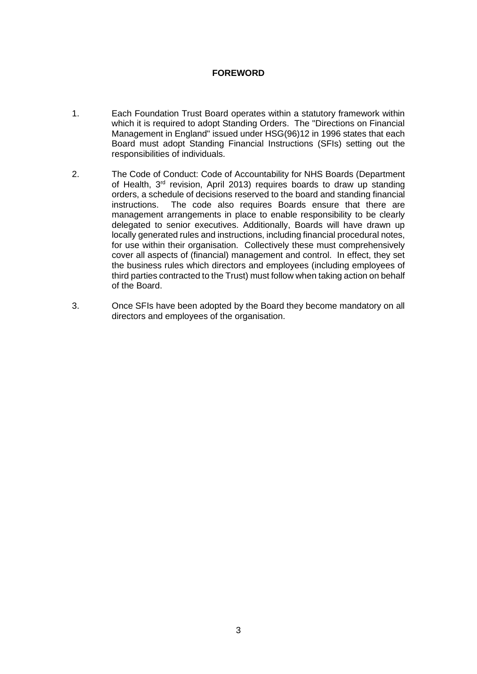### **FOREWORD**

- 1. Each Foundation Trust Board operates within a statutory framework within which it is required to adopt Standing Orders. The "Directions on Financial Management in England" issued under HSG(96)12 in 1996 states that each Board must adopt Standing Financial Instructions (SFIs) setting out the responsibilities of individuals.
- 2. The Code of Conduct: Code of Accountability for NHS Boards (Department of Health, 3<sup>rd</sup> revision, April 2013) requires boards to draw up standing orders, a schedule of decisions reserved to the board and standing financial instructions. The code also requires Boards ensure that there are management arrangements in place to enable responsibility to be clearly delegated to senior executives. Additionally, Boards will have drawn up locally generated rules and instructions, including financial procedural notes, for use within their organisation. Collectively these must comprehensively cover all aspects of (financial) management and control. In effect, they set the business rules which directors and employees (including employees of third parties contracted to the Trust) must follow when taking action on behalf of the Board.
- 3. Once SFIs have been adopted by the Board they become mandatory on all directors and employees of the organisation.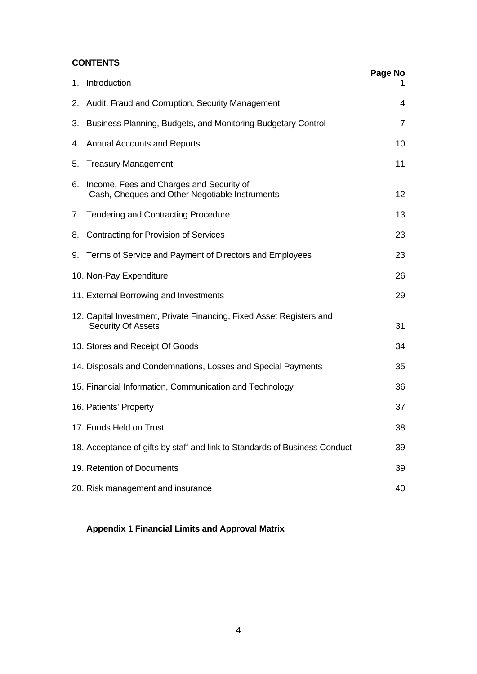### **CONTENTS**

|    |                                                                                                   | Page No        |
|----|---------------------------------------------------------------------------------------------------|----------------|
|    | 1. Introduction                                                                                   |                |
|    | 2. Audit, Fraud and Corruption, Security Management                                               | 4              |
|    | 3. Business Planning, Budgets, and Monitoring Budgetary Control                                   | $\overline{7}$ |
|    | 4. Annual Accounts and Reports                                                                    | 10             |
| 5. | <b>Treasury Management</b>                                                                        | 11             |
| 6. | Income, Fees and Charges and Security of<br>Cash, Cheques and Other Negotiable Instruments        | 12             |
|    | 7. Tendering and Contracting Procedure                                                            | 13             |
| 8. | <b>Contracting for Provision of Services</b>                                                      | 23             |
|    | 9. Terms of Service and Payment of Directors and Employees                                        | 23             |
|    | 10. Non-Pay Expenditure                                                                           | 26             |
|    | 11. External Borrowing and Investments                                                            | 29             |
|    | 12. Capital Investment, Private Financing, Fixed Asset Registers and<br><b>Security Of Assets</b> | 31             |
|    | 13. Stores and Receipt Of Goods                                                                   | 34             |
|    | 14. Disposals and Condemnations, Losses and Special Payments                                      | 35             |
|    | 15. Financial Information, Communication and Technology                                           | 36             |
|    | 16. Patients' Property                                                                            | 37             |
|    | 17. Funds Held on Trust                                                                           | 38             |
|    | 18. Acceptance of gifts by staff and link to Standards of Business Conduct                        | 39             |
|    | 19. Retention of Documents                                                                        | 39             |
|    | 20. Risk management and insurance                                                                 | 40             |

## **Appendix 1 Financial Limits and Approval Matrix**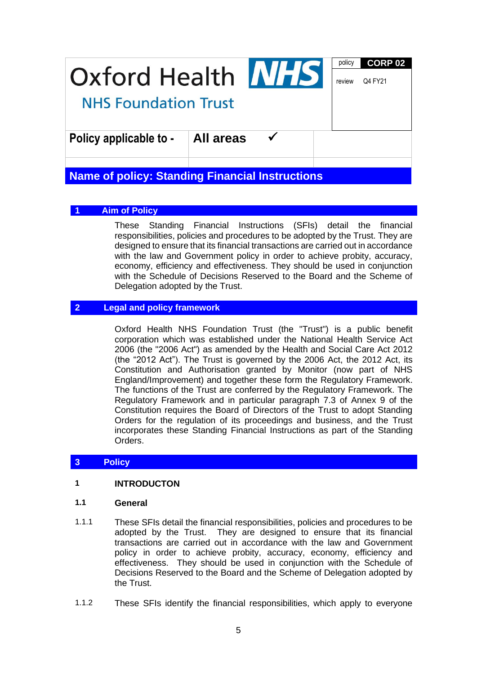| Oxford Health NHS           | policy<br>review | <b>CORP 02</b><br>Q4 FY21 |  |  |
|-----------------------------|------------------|---------------------------|--|--|
| <b>NHS Foundation Trust</b> |                  |                           |  |  |
| Policy applicable to -      | All areas        |                           |  |  |
|                             |                  |                           |  |  |

# **Name of policy: Standing Financial Instructions**

### **1 Aim of Policy**

These Standing Financial Instructions (SFIs) detail the financial responsibilities, policies and procedures to be adopted by the Trust. They are designed to ensure that its financial transactions are carried out in accordance with the law and Government policy in order to achieve probity, accuracy, economy, efficiency and effectiveness. They should be used in conjunction with the Schedule of Decisions Reserved to the Board and the Scheme of Delegation adopted by the Trust.

### **2 Legal and policy framework**

Oxford Health NHS Foundation Trust (the "Trust") is a public benefit corporation which was established under the National Health Service Act 2006 (the "2006 Act") as amended by the Health and Social Care Act 2012 (the "2012 Act"). The Trust is governed by the 2006 Act, the 2012 Act, its Constitution and Authorisation granted by Monitor (now part of NHS England/Improvement) and together these form the Regulatory Framework. The functions of the Trust are conferred by the Regulatory Framework. The Regulatory Framework and in particular paragraph 7.3 of Annex 9 of the Constitution requires the Board of Directors of the Trust to adopt Standing Orders for the regulation of its proceedings and business, and the Trust incorporates these Standing Financial Instructions as part of the Standing Orders.

#### **3 Policy**

#### **1 INTRODUCTON**

#### **1.1 General**

- 1.1.1 These SFIs detail the financial responsibilities, policies and procedures to be adopted by the Trust. They are designed to ensure that its financial transactions are carried out in accordance with the law and Government policy in order to achieve probity, accuracy, economy, efficiency and effectiveness. They should be used in conjunction with the Schedule of Decisions Reserved to the Board and the Scheme of Delegation adopted by the Trust.
- 1.1.2 These SFIs identify the financial responsibilities, which apply to everyone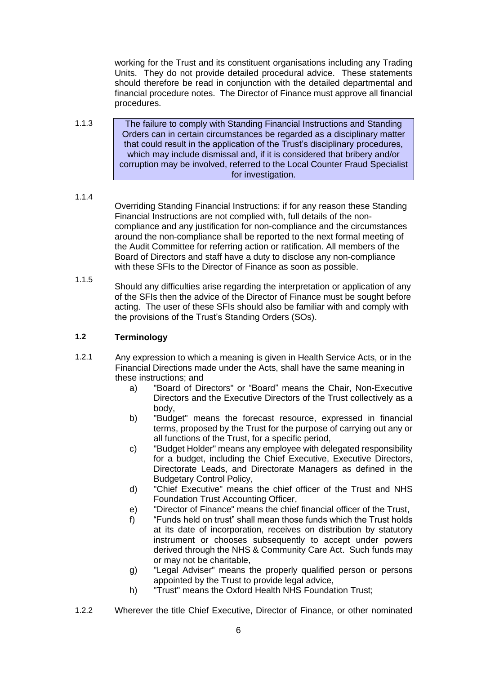working for the Trust and its constituent organisations including any Trading Units. They do not provide detailed procedural advice. These statements should therefore be read in conjunction with the detailed departmental and financial procedure notes. The Director of Finance must approve all financial procedures.

1.1.3 The failure to comply with Standing Financial Instructions and Standing Orders can in certain circumstances be regarded as a disciplinary matter that could result in the application of the Trust's disciplinary procedures, which may include dismissal and, if it is considered that bribery and/or corruption may be involved, referred to the Local Counter Fraud Specialist for investigation.

#### 1.1.4

Overriding Standing Financial Instructions: if for any reason these Standing Financial Instructions are not complied with, full details of the noncompliance and any justification for non-compliance and the circumstances around the non-compliance shall be reported to the next formal meeting of the Audit Committee for referring action or ratification. All members of the Board of Directors and staff have a duty to disclose any non-compliance with these SFIs to the Director of Finance as soon as possible.

1.1.5

Should any difficulties arise regarding the interpretation or application of any of the SFIs then the advice of the Director of Finance must be sought before acting. The user of these SFIs should also be familiar with and comply with the provisions of the Trust's Standing Orders (SOs).

### **1.2 Terminology**

- 1.2.1 Any expression to which a meaning is given in Health Service Acts, or in the Financial Directions made under the Acts, shall have the same meaning in these instructions; and
	- a) "Board of Directors" or "Board" means the Chair, Non-Executive Directors and the Executive Directors of the Trust collectively as a body,
	- b) "Budget" means the forecast resource, expressed in financial terms, proposed by the Trust for the purpose of carrying out any or all functions of the Trust, for a specific period,
	- c) "Budget Holder" means any employee with delegated responsibility for a budget, including the Chief Executive, Executive Directors, Directorate Leads, and Directorate Managers as defined in the Budgetary Control Policy,
	- d) "Chief Executive" means the chief officer of the Trust and NHS Foundation Trust Accounting Officer,
	- e) "Director of Finance" means the chief financial officer of the Trust,
	- f) "Funds held on trust" shall mean those funds which the Trust holds at its date of incorporation, receives on distribution by statutory instrument or chooses subsequently to accept under powers derived through the NHS & Community Care Act. Such funds may or may not be charitable,
	- g) "Legal Adviser" means the properly qualified person or persons appointed by the Trust to provide legal advice,
	- h) "Trust" means the Oxford Health NHS Foundation Trust;
- 1.2.2 Wherever the title Chief Executive, Director of Finance, or other nominated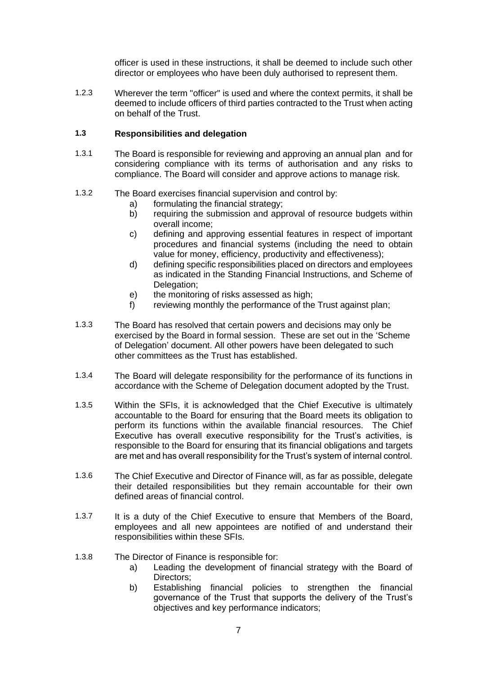officer is used in these instructions, it shall be deemed to include such other director or employees who have been duly authorised to represent them.

1.2.3 Wherever the term "officer" is used and where the context permits, it shall be deemed to include officers of third parties contracted to the Trust when acting on behalf of the Trust.

#### **1.3 Responsibilities and delegation**

- 1.3.1 The Board is responsible for reviewing and approving an annual plan and for considering compliance with its terms of authorisation and any risks to compliance. The Board will consider and approve actions to manage risk.
- 1.3.2 The Board exercises financial supervision and control by:
	- a) formulating the financial strategy;
	- b) requiring the submission and approval of resource budgets within overall income;
	- c) defining and approving essential features in respect of important procedures and financial systems (including the need to obtain value for money, efficiency, productivity and effectiveness);
	- d) defining specific responsibilities placed on directors and employees as indicated in the Standing Financial Instructions, and Scheme of Delegation;
	- e) the monitoring of risks assessed as high:
	- f) reviewing monthly the performance of the Trust against plan;
- 1.3.3 The Board has resolved that certain powers and decisions may only be exercised by the Board in formal session. These are set out in the 'Scheme of Delegation' document. All other powers have been delegated to such other committees as the Trust has established.
- 1.3.4 The Board will delegate responsibility for the performance of its functions in accordance with the Scheme of Delegation document adopted by the Trust.
- 1.3.5 Within the SFIs, it is acknowledged that the Chief Executive is ultimately accountable to the Board for ensuring that the Board meets its obligation to perform its functions within the available financial resources. The Chief Executive has overall executive responsibility for the Trust's activities, is responsible to the Board for ensuring that its financial obligations and targets are met and has overall responsibility for the Trust's system of internal control.
- 1.3.6 The Chief Executive and Director of Finance will, as far as possible, delegate their detailed responsibilities but they remain accountable for their own defined areas of financial control.
- 1.3.7 It is a duty of the Chief Executive to ensure that Members of the Board, employees and all new appointees are notified of and understand their responsibilities within these SFIs.
- 1.3.8 The Director of Finance is responsible for:
	- a) Leading the development of financial strategy with the Board of Directors;
	- b) Establishing financial policies to strengthen the financial governance of the Trust that supports the delivery of the Trust's objectives and key performance indicators;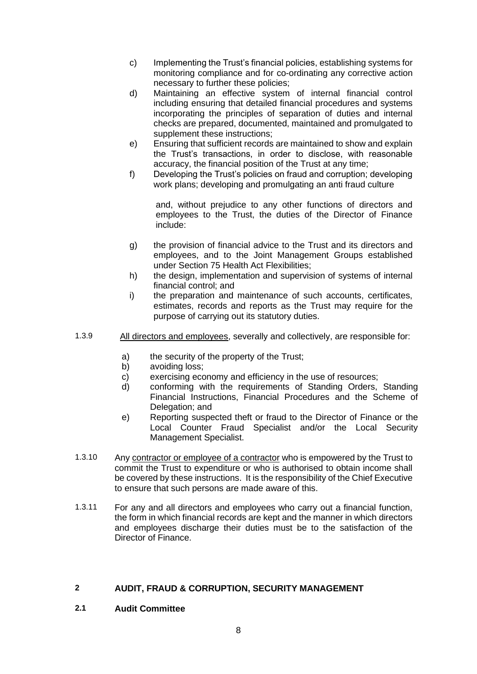- c) Implementing the Trust's financial policies, establishing systems for monitoring compliance and for co-ordinating any corrective action necessary to further these policies;
- d) Maintaining an effective system of internal financial control including ensuring that detailed financial procedures and systems incorporating the principles of separation of duties and internal checks are prepared, documented, maintained and promulgated to supplement these instructions;
- e) Ensuring that sufficient records are maintained to show and explain the Trust's transactions, in order to disclose, with reasonable accuracy, the financial position of the Trust at any time;
- f) Developing the Trust's policies on fraud and corruption; developing work plans; developing and promulgating an anti fraud culture

and, without prejudice to any other functions of directors and employees to the Trust, the duties of the Director of Finance include:

- g) the provision of financial advice to the Trust and its directors and employees, and to the Joint Management Groups established under Section 75 Health Act Flexibilities;
- h) the design, implementation and supervision of systems of internal financial control; and
- i) the preparation and maintenance of such accounts, certificates, estimates, records and reports as the Trust may require for the purpose of carrying out its statutory duties.
- 1.3.9 All directors and employees, severally and collectively, are responsible for:
	- a) the security of the property of the Trust;
	- b) avoiding loss;
	- c) exercising economy and efficiency in the use of resources;
	- d) conforming with the requirements of Standing Orders, Standing Financial Instructions, Financial Procedures and the Scheme of Delegation; and
	- e) Reporting suspected theft or fraud to the Director of Finance or the Local Counter Fraud Specialist and/or the Local Security Management Specialist.
- 1.3.10 Any contractor or employee of a contractor who is empowered by the Trust to commit the Trust to expenditure or who is authorised to obtain income shall be covered by these instructions. It is the responsibility of the Chief Executive to ensure that such persons are made aware of this.
- 1.3.11 For any and all directors and employees who carry out a financial function, the form in which financial records are kept and the manner in which directors and employees discharge their duties must be to the satisfaction of the Director of Finance.

### **2 AUDIT, FRAUD & CORRUPTION, SECURITY MANAGEMENT**

**2.1 Audit Committee**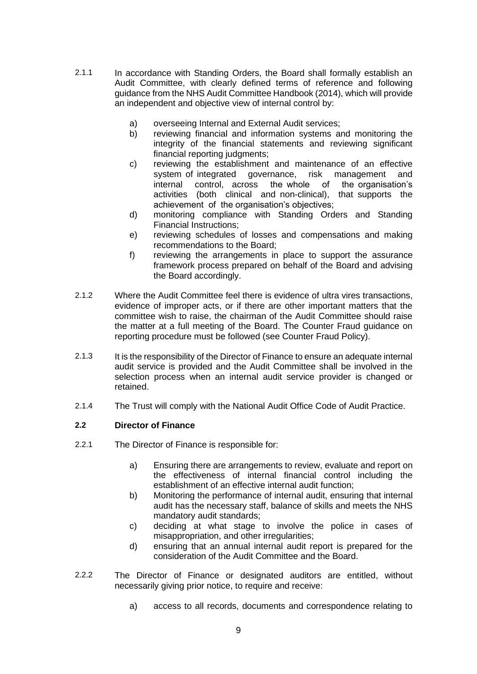- 2.1.1 In accordance with Standing Orders, the Board shall formally establish an Audit Committee, with clearly defined terms of reference and following guidance from the NHS Audit Committee Handbook (2014), which will provide an independent and objective view of internal control by:
	- a) overseeing Internal and External Audit services;
	- b) reviewing financial and information systems and monitoring the integrity of the financial statements and reviewing significant financial reporting judgments;
	- c) reviewing the establishment and maintenance of an effective system of integrated governance, risk management and internal control, across the whole of the organisation's internal control, across the whole of the organisation's activities (both clinical and non-clinical), that supports the achievement of the organisation's objectives;
	- d) monitoring compliance with Standing Orders and Standing Financial Instructions;
	- e) reviewing schedules of losses and compensations and making recommendations to the Board;
	- f) reviewing the arrangements in place to support the assurance framework process prepared on behalf of the Board and advising the Board accordingly.
- 2.1.2 Where the Audit Committee feel there is evidence of ultra vires transactions, evidence of improper acts, or if there are other important matters that the committee wish to raise, the chairman of the Audit Committee should raise the matter at a full meeting of the Board. The Counter Fraud guidance on reporting procedure must be followed (see Counter Fraud Policy).
- 2.1.3 It is the responsibility of the Director of Finance to ensure an adequate internal audit service is provided and the Audit Committee shall be involved in the selection process when an internal audit service provider is changed or retained.
- 2.1.4 The Trust will comply with the National Audit Office Code of Audit Practice.

### **2.2 Director of Finance**

- 2.2.1 The Director of Finance is responsible for:
	- a) Ensuring there are arrangements to review, evaluate and report on the effectiveness of internal financial control including the establishment of an effective internal audit function;
	- b) Monitoring the performance of internal audit, ensuring that internal audit has the necessary staff, balance of skills and meets the NHS mandatory audit standards;
	- c) deciding at what stage to involve the police in cases of misappropriation, and other irregularities;
	- d) ensuring that an annual internal audit report is prepared for the consideration of the Audit Committee and the Board.
- 2.2.2 The Director of Finance or designated auditors are entitled, without necessarily giving prior notice, to require and receive:
	- a) access to all records, documents and correspondence relating to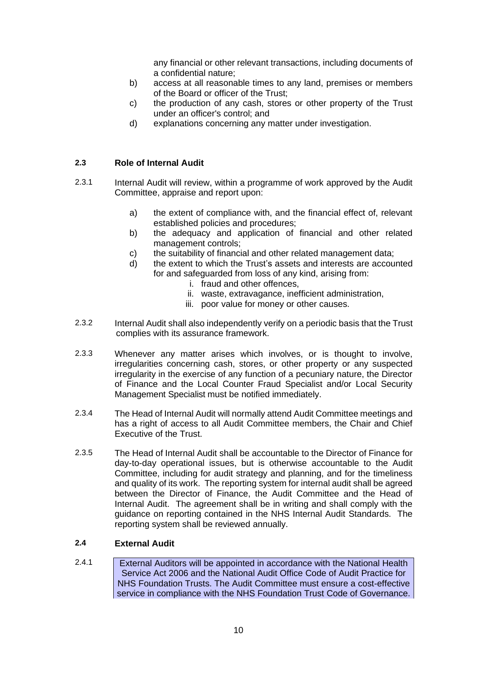any financial or other relevant transactions, including documents of a confidential nature;

- b) access at all reasonable times to any land, premises or members of the Board or officer of the Trust;
- c) the production of any cash, stores or other property of the Trust under an officer's control; and
- d) explanations concerning any matter under investigation.

### **2.3 Role of Internal Audit**

- 2.3.1 Internal Audit will review, within a programme of work approved by the Audit Committee, appraise and report upon:
	- a) the extent of compliance with, and the financial effect of, relevant established policies and procedures;
	- b) the adequacy and application of financial and other related management controls;
	- c) the suitability of financial and other related management data;
	- d) the extent to which the Trust's assets and interests are accounted for and safeguarded from loss of any kind, arising from:
		- i. fraud and other offences,
		- ii. waste, extravagance, inefficient administration,
		- iii. poor value for money or other causes.
- 2.3.2 Internal Audit shall also independently verify on a periodic basis that the Trust complies with its assurance framework.
- 2.3.3 Whenever any matter arises which involves, or is thought to involve, irregularities concerning cash, stores, or other property or any suspected irregularity in the exercise of any function of a pecuniary nature, the Director of Finance and the Local Counter Fraud Specialist and/or Local Security Management Specialist must be notified immediately.
- 2.3.4 The Head of Internal Audit will normally attend Audit Committee meetings and has a right of access to all Audit Committee members, the Chair and Chief Executive of the Trust.
- 2.3.5 The Head of Internal Audit shall be accountable to the Director of Finance for day-to-day operational issues, but is otherwise accountable to the Audit Committee, including for audit strategy and planning, and for the timeliness and quality of its work. The reporting system for internal audit shall be agreed between the Director of Finance, the Audit Committee and the Head of Internal Audit. The agreement shall be in writing and shall comply with the guidance on reporting contained in the NHS Internal Audit Standards. The reporting system shall be reviewed annually.

### **2.4 External Audit**

2.4.1 External Auditors will be appointed in accordance with the National Health Service Act 2006 and the National Audit Office Code of Audit Practice for NHS Foundation Trusts. The Audit Committee must ensure a cost-effective service in compliance with the NHS Foundation Trust Code of Governance.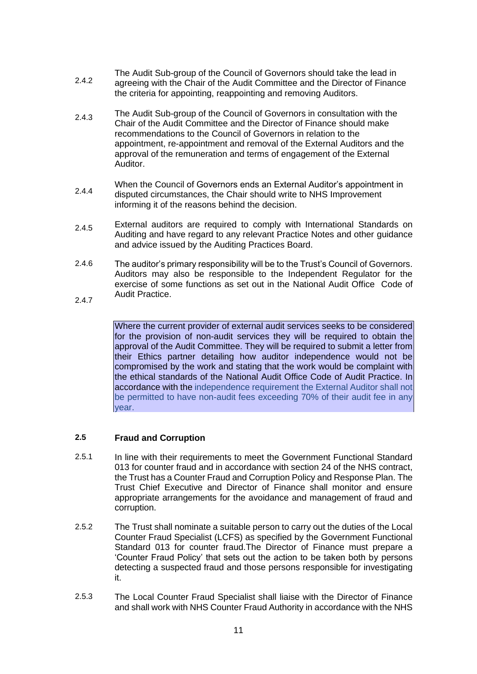- 2.4.2 The Audit Sub-group of the Council of Governors should take the lead in agreeing with the Chair of the Audit Committee and the Director of Finance the criteria for appointing, reappointing and removing Auditors.
- 2.4.3 The Audit Sub-group of the Council of Governors in consultation with the Chair of the Audit Committee and the Director of Finance should make recommendations to the Council of Governors in relation to the appointment, re-appointment and removal of the External Auditors and the approval of the remuneration and terms of engagement of the External Auditor.
- 2.4.4 When the Council of Governors ends an External Auditor's appointment in disputed circumstances, the Chair should write to NHS Improvement informing it of the reasons behind the decision.
- 2.4.5 External auditors are required to comply with International Standards on Auditing and have regard to any relevant Practice Notes and other guidance and advice issued by the Auditing Practices Board.
- 2.4.6 The auditor's primary responsibility will be to the Trust's Council of Governors. Auditors may also be responsible to the Independent Regulator for the exercise of some functions as set out in the National Audit Office Code of Audit Practice.
- 2.4.7

Where the current provider of external audit services seeks to be considered for the provision of non-audit services they will be required to obtain the approval of the Audit Committee. They will be required to submit a letter from their Ethics partner detailing how auditor independence would not be compromised by the work and stating that the work would be complaint with the ethical standards of the National Audit Office Code of Audit Practice. In accordance with the independence requirement the External Auditor shall not be permitted to have non-audit fees exceeding 70% of their audit fee in any year.

#### **2.5 Fraud and Corruption**

- 2.5.1 In line with their requirements to meet the Government Functional Standard 013 for counter fraud and in accordance with section 24 of the NHS contract, the Trust has a Counter Fraud and Corruption Policy and Response Plan. The Trust Chief Executive and Director of Finance shall monitor and ensure appropriate arrangements for the avoidance and management of fraud and corruption.
- 2.5.2 The Trust shall nominate a suitable person to carry out the duties of the Local Counter Fraud Specialist (LCFS) as specified by the Government Functional Standard 013 for counter fraud.The Director of Finance must prepare a 'Counter Fraud Policy' that sets out the action to be taken both by persons detecting a suspected fraud and those persons responsible for investigating it.
- 2.5.3 The Local Counter Fraud Specialist shall liaise with the Director of Finance and shall work with NHS Counter Fraud Authority in accordance with the NHS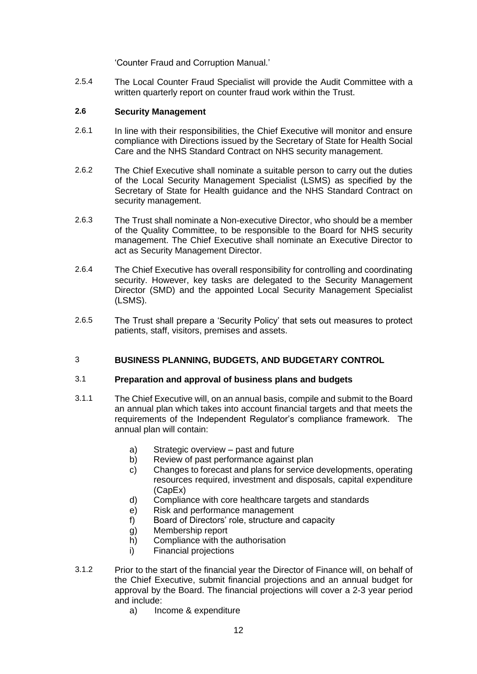'Counter Fraud and Corruption Manual.'

2.5.4 The Local Counter Fraud Specialist will provide the Audit Committee with a written quarterly report on counter fraud work within the Trust.

#### **2.6 Security Management**

- 2.6.1 In line with their responsibilities, the Chief Executive will monitor and ensure compliance with Directions issued by the Secretary of State for Health Social Care and the NHS Standard Contract on NHS security management.
- 2.6.2 The Chief Executive shall nominate a suitable person to carry out the duties of the Local Security Management Specialist (LSMS) as specified by the Secretary of State for Health guidance and the NHS Standard Contract on security management.
- 2.6.3 The Trust shall nominate a Non-executive Director, who should be a member of the Quality Committee, to be responsible to the Board for NHS security management. The Chief Executive shall nominate an Executive Director to act as Security Management Director.
- 2.6.4 The Chief Executive has overall responsibility for controlling and coordinating security. However, key tasks are delegated to the Security Management Director (SMD) and the appointed Local Security Management Specialist (LSMS).
- 2.6.5 The Trust shall prepare a 'Security Policy' that sets out measures to protect patients, staff, visitors, premises and assets.

### 3 **BUSINESS PLANNING, BUDGETS, AND BUDGETARY CONTROL**

#### 3.1 **Preparation and approval of business plans and budgets**

- 3.1.1 The Chief Executive will, on an annual basis, compile and submit to the Board an annual plan which takes into account financial targets and that meets the requirements of the Independent Regulator's compliance framework. The annual plan will contain:
	- a) Strategic overview past and future
	- b) Review of past performance against plan
	- c) Changes to forecast and plans for service developments, operating resources required, investment and disposals, capital expenditure (CapEx)
	- d) Compliance with core healthcare targets and standards
	- e) Risk and performance management
	- f) Board of Directors' role, structure and capacity
	- g) Membership report
	- h) Compliance with the authorisation
	- i) Financial projections
- 3.1.2 Prior to the start of the financial year the Director of Finance will, on behalf of the Chief Executive, submit financial projections and an annual budget for approval by the Board. The financial projections will cover a 2-3 year period and include:
	- a) Income & expenditure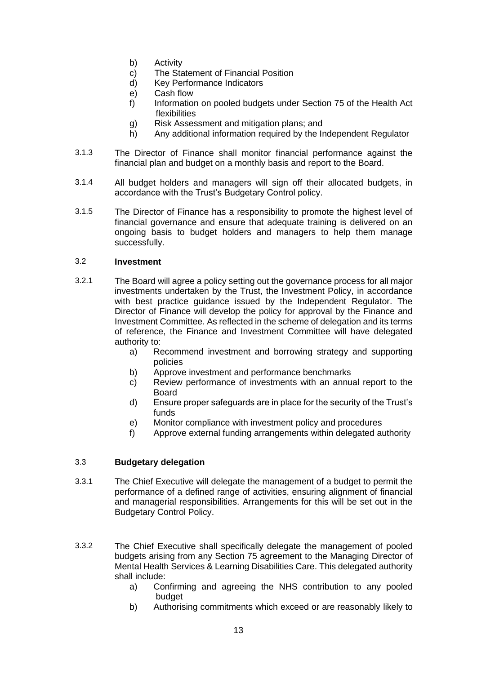- b) Activity
- c) The Statement of Financial Position
- d) Key Performance Indicators
- e) Cash flow
- f) Information on pooled budgets under Section 75 of the Health Act flexibilities
- g) Risk Assessment and mitigation plans; and
- h) Any additional information required by the Independent Regulator
- 3.1.3 The Director of Finance shall monitor financial performance against the financial plan and budget on a monthly basis and report to the Board.
- 3.1.4 All budget holders and managers will sign off their allocated budgets, in accordance with the Trust's Budgetary Control policy.
- 3.1.5 The Director of Finance has a responsibility to promote the highest level of financial governance and ensure that adequate training is delivered on an ongoing basis to budget holders and managers to help them manage successfully.

#### 3.2 **Investment**

- 3.2.1 The Board will agree a policy setting out the governance process for all major investments undertaken by the Trust, the Investment Policy, in accordance with best practice guidance issued by the Independent Regulator. The Director of Finance will develop the policy for approval by the Finance and Investment Committee. As reflected in the scheme of delegation and its terms of reference, the Finance and Investment Committee will have delegated authority to:
	- a) Recommend investment and borrowing strategy and supporting policies
	- b) Approve investment and performance benchmarks
	- c) Review performance of investments with an annual report to the Board
	- d) Ensure proper safeguards are in place for the security of the Trust's funds
	- e) Monitor compliance with investment policy and procedures
	- f) Approve external funding arrangements within delegated authority

### 3.3 **Budgetary delegation**

- 3.3.1 The Chief Executive will delegate the management of a budget to permit the performance of a defined range of activities, ensuring alignment of financial and managerial responsibilities. Arrangements for this will be set out in the Budgetary Control Policy.
- 3.3.2 The Chief Executive shall specifically delegate the management of pooled budgets arising from any Section 75 agreement to the Managing Director of Mental Health Services & Learning Disabilities Care. This delegated authority shall include:
	- a) Confirming and agreeing the NHS contribution to any pooled budget
	- b) Authorising commitments which exceed or are reasonably likely to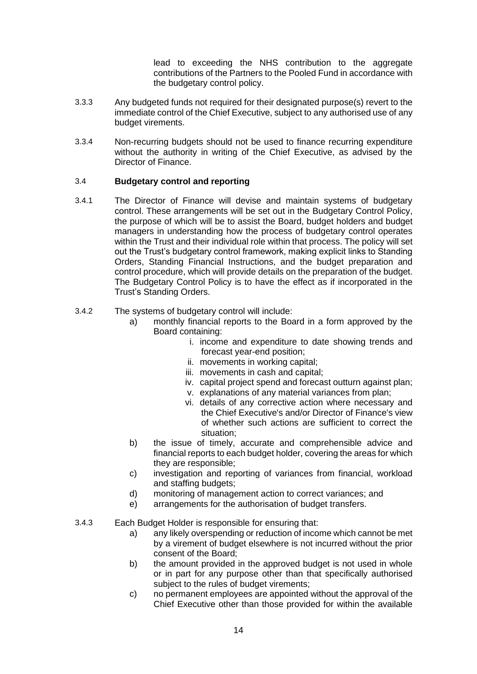lead to exceeding the NHS contribution to the aggregate contributions of the Partners to the Pooled Fund in accordance with the budgetary control policy.

- 3.3.3 Any budgeted funds not required for their designated purpose(s) revert to the immediate control of the Chief Executive, subject to any authorised use of any budget virements.
- 3.3.4 Non-recurring budgets should not be used to finance recurring expenditure without the authority in writing of the Chief Executive, as advised by the Director of Finance.

### 3.4 **Budgetary control and reporting**

- 3.4.1 The Director of Finance will devise and maintain systems of budgetary control. These arrangements will be set out in the Budgetary Control Policy, the purpose of which will be to assist the Board, budget holders and budget managers in understanding how the process of budgetary control operates within the Trust and their individual role within that process. The policy will set out the Trust's budgetary control framework, making explicit links to Standing Orders, Standing Financial Instructions, and the budget preparation and control procedure, which will provide details on the preparation of the budget. The Budgetary Control Policy is to have the effect as if incorporated in the Trust's Standing Orders.
- 3.4.2 The systems of budgetary control will include:
	- a) monthly financial reports to the Board in a form approved by the Board containing:
		- i. income and expenditure to date showing trends and forecast year-end position;
		- ii. movements in working capital;
		- iii. movements in cash and capital;
		- iv. capital project spend and forecast outturn against plan;
		- v. explanations of any material variances from plan;
		- vi. details of any corrective action where necessary and the Chief Executive's and/or Director of Finance's view of whether such actions are sufficient to correct the situation;
	- b) the issue of timely, accurate and comprehensible advice and financial reports to each budget holder, covering the areas for which they are responsible;
	- c) investigation and reporting of variances from financial, workload and staffing budgets;
	- d) monitoring of management action to correct variances; and
	- e) arrangements for the authorisation of budget transfers.
- 3.4.3 Each Budget Holder is responsible for ensuring that:
	- a) any likely overspending or reduction of income which cannot be met by a virement of budget elsewhere is not incurred without the prior consent of the Board;
	- b) the amount provided in the approved budget is not used in whole or in part for any purpose other than that specifically authorised subject to the rules of budget virements;
	- c) no permanent employees are appointed without the approval of the Chief Executive other than those provided for within the available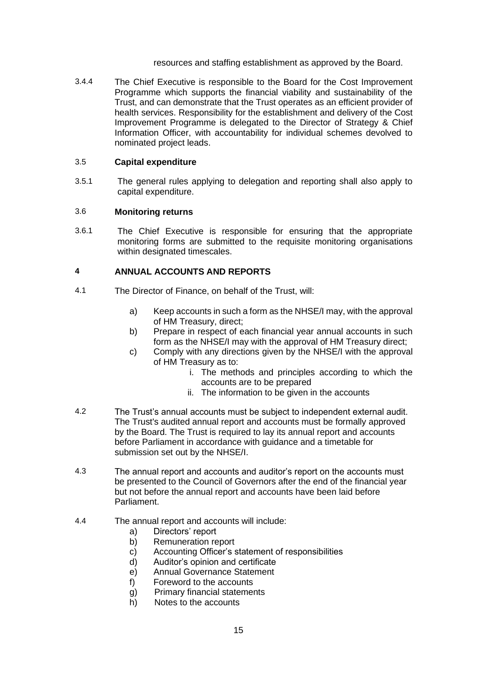resources and staffing establishment as approved by the Board.

3.4.4 The Chief Executive is responsible to the Board for the Cost Improvement Programme which supports the financial viability and sustainability of the Trust, and can demonstrate that the Trust operates as an efficient provider of health services. Responsibility for the establishment and delivery of the Cost Improvement Programme is delegated to the Director of Strategy & Chief Information Officer, with accountability for individual schemes devolved to nominated project leads.

#### 3.5 **Capital expenditure**

3.5.1 The general rules applying to delegation and reporting shall also apply to capital expenditure.

#### 3.6 **Monitoring returns**

3.6.1 The Chief Executive is responsible for ensuring that the appropriate monitoring forms are submitted to the requisite monitoring organisations within designated timescales.

#### **4 ANNUAL ACCOUNTS AND REPORTS**

- 4.1 The Director of Finance, on behalf of the Trust, will:
	- a) Keep accounts in such a form as the NHSE/I may, with the approval of HM Treasury, direct;
	- b) Prepare in respect of each financial year annual accounts in such form as the NHSE/I may with the approval of HM Treasury direct;
	- c) Comply with any directions given by the NHSE/I with the approval of HM Treasury as to:
		- i. The methods and principles according to which the accounts are to be prepared
		- ii. The information to be given in the accounts
- 4.2 The Trust's annual accounts must be subject to independent external audit. The Trust's audited annual report and accounts must be formally approved by the Board. The Trust is required to lay its annual report and accounts before Parliament in accordance with guidance and a timetable for submission set out by the NHSE/I.
- 4.3 The annual report and accounts and auditor's report on the accounts must be presented to the Council of Governors after the end of the financial year but not before the annual report and accounts have been laid before Parliament.
- 4.4 The annual report and accounts will include:
	- a) Directors' report
	- b) Remuneration report
	- c) Accounting Officer's statement of responsibilities
	- d) Auditor's opinion and certificate
	- e) Annual Governance Statement
	- f) Foreword to the accounts
	- g) Primary financial statements
	- h) Notes to the accounts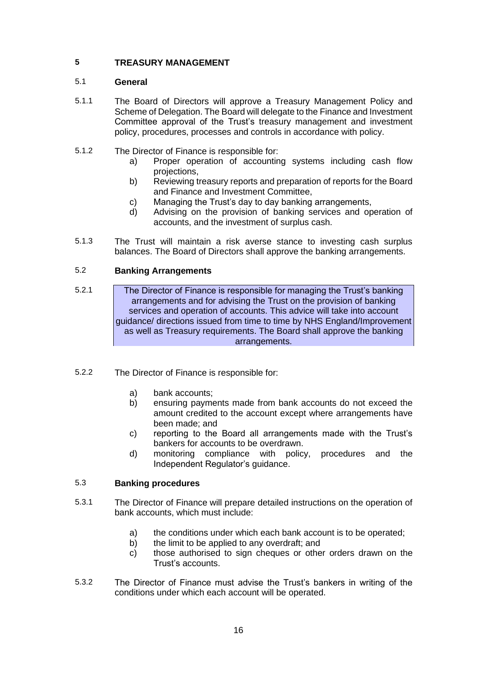### **5 TREASURY MANAGEMENT**

#### 5.1 **General**

- 5.1.1 The Board of Directors will approve a Treasury Management Policy and Scheme of Delegation. The Board will delegate to the Finance and Investment Committee approval of the Trust's treasury management and investment policy, procedures, processes and controls in accordance with policy.
- 5.1.2 The Director of Finance is responsible for:
	- a) Proper operation of accounting systems including cash flow projections,
	- b) Reviewing treasury reports and preparation of reports for the Board and Finance and Investment Committee,
	- c) Managing the Trust's day to day banking arrangements,
	- d) Advising on the provision of banking services and operation of accounts, and the investment of surplus cash.
- 5.1.3 The Trust will maintain a risk averse stance to investing cash surplus balances. The Board of Directors shall approve the banking arrangements.

### 5.2 **Banking Arrangements**

- 5.2.1 The Director of Finance is responsible for managing the Trust's banking arrangements and for advising the Trust on the provision of banking services and operation of accounts. This advice will take into account guidance/ directions issued from time to time by NHS England/Improvement as well as Treasury requirements. The Board shall approve the banking arrangements.
- 5.2.2 The Director of Finance is responsible for:
	- a) bank accounts;
	- b) ensuring payments made from bank accounts do not exceed the amount credited to the account except where arrangements have been made; and
	- c) reporting to the Board all arrangements made with the Trust's bankers for accounts to be overdrawn.
	- d) monitoring compliance with policy, procedures and the Independent Regulator's guidance.

#### 5.3 **Banking procedures**

- 5.3.1 The Director of Finance will prepare detailed instructions on the operation of bank accounts, which must include:
	- a) the conditions under which each bank account is to be operated;
	- b) the limit to be applied to any overdraft; and
	- c) those authorised to sign cheques or other orders drawn on the Trust's accounts.
- 5.3.2 The Director of Finance must advise the Trust's bankers in writing of the conditions under which each account will be operated.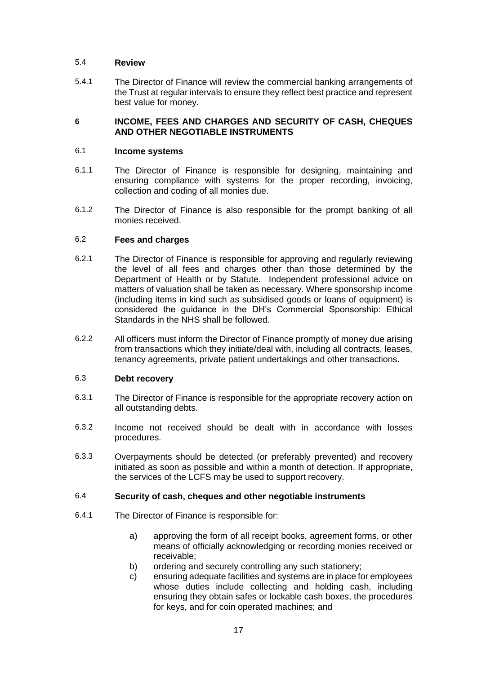### 5.4 **Review**

5.4.1 The Director of Finance will review the commercial banking arrangements of the Trust at regular intervals to ensure they reflect best practice and represent best value for money.

### **6 INCOME, FEES AND CHARGES AND SECURITY OF CASH, CHEQUES AND OTHER NEGOTIABLE INSTRUMENTS**

### 6.1 **Income systems**

- 6.1.1 The Director of Finance is responsible for designing, maintaining and ensuring compliance with systems for the proper recording, invoicing, collection and coding of all monies due.
- 6.1.2 The Director of Finance is also responsible for the prompt banking of all monies received.

### 6.2 **Fees and charges**

- 6.2.1 The Director of Finance is responsible for approving and regularly reviewing the level of all fees and charges other than those determined by the Department of Health or by Statute. Independent professional advice on matters of valuation shall be taken as necessary. Where sponsorship income (including items in kind such as subsidised goods or loans of equipment) is considered the guidance in the DH's Commercial Sponsorship: Ethical Standards in the NHS shall be followed.
- 6.2.2 All officers must inform the Director of Finance promptly of money due arising from transactions which they initiate/deal with, including all contracts, leases, tenancy agreements, private patient undertakings and other transactions.

#### 6.3 **Debt recovery**

- 6.3.1 The Director of Finance is responsible for the appropriate recovery action on all outstanding debts.
- 6.3.2 Income not received should be dealt with in accordance with losses procedures.
- 6.3.3 Overpayments should be detected (or preferably prevented) and recovery initiated as soon as possible and within a month of detection. If appropriate, the services of the LCFS may be used to support recovery.

### 6.4 **Security of cash, cheques and other negotiable instruments**

- 6.4.1 The Director of Finance is responsible for:
	- a) approving the form of all receipt books, agreement forms, or other means of officially acknowledging or recording monies received or receivable;
	- b) ordering and securely controlling any such stationery;
	- c) ensuring adequate facilities and systems are in place for employees whose duties include collecting and holding cash, including ensuring they obtain safes or lockable cash boxes, the procedures for keys, and for coin operated machines; and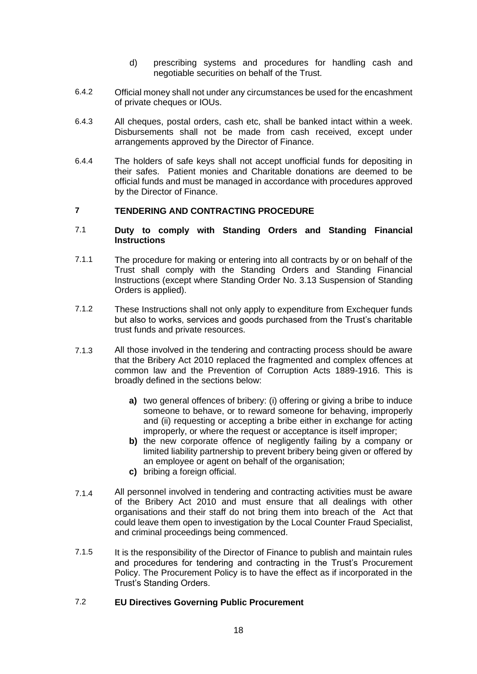- d) prescribing systems and procedures for handling cash and negotiable securities on behalf of the Trust.
- 6.4.2 Official money shall not under any circumstances be used for the encashment of private cheques or IOUs.
- 6.4.3 All cheques, postal orders, cash etc, shall be banked intact within a week. Disbursements shall not be made from cash received, except under arrangements approved by the Director of Finance.
- 6.4.4 The holders of safe keys shall not accept unofficial funds for depositing in their safes. Patient monies and Charitable donations are deemed to be official funds and must be managed in accordance with procedures approved by the Director of Finance.

#### **7 TENDERING AND CONTRACTING PROCEDURE**

#### 7.1 **Duty to comply with Standing Orders and Standing Financial Instructions**

- 7.1.1 The procedure for making or entering into all contracts by or on behalf of the Trust shall comply with the Standing Orders and Standing Financial Instructions (except where Standing Order No. 3.13 Suspension of Standing Orders is applied).
- 7.1.2 These Instructions shall not only apply to expenditure from Exchequer funds but also to works, services and goods purchased from the Trust's charitable trust funds and private resources.
- 7.1.3 All those involved in the tendering and contracting process should be aware that the Bribery Act 2010 replaced the fragmented and complex offences at common law and the Prevention of Corruption Acts 1889-1916. This is broadly defined in the sections below:
	- **a)** two general offences of bribery: (i) offering or giving a bribe to induce someone to behave, or to reward someone for behaving, improperly and (ii) requesting or accepting a bribe either in exchange for acting improperly, or where the request or acceptance is itself improper;
	- **b)** the new corporate offence of negligently failing by a company or limited liability partnership to prevent bribery being given or offered by an employee or agent on behalf of the organisation;
	- **c)** bribing a foreign official.
- 7.1.4 All personnel involved in tendering and contracting activities must be aware of the Bribery Act 2010 and must ensure that all dealings with other organisations and their staff do not bring them into breach of the Act that could leave them open to investigation by the Local Counter Fraud Specialist, and criminal proceedings being commenced.
- 7.1.5 It is the responsibility of the Director of Finance to publish and maintain rules and procedures for tendering and contracting in the Trust's Procurement Policy. The Procurement Policy is to have the effect as if incorporated in the Trust's Standing Orders.

### 7.2 **EU Directives Governing Public Procurement**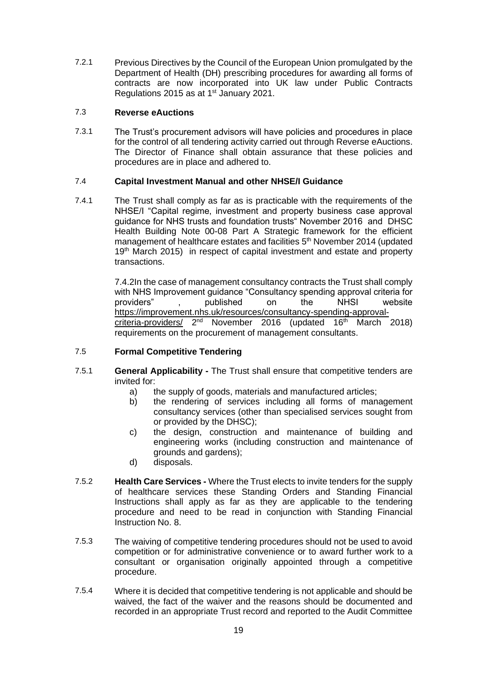7.2.1 Previous Directives by the Council of the European Union promulgated by the Department of Health (DH) prescribing procedures for awarding all forms of contracts are now incorporated into UK law under Public Contracts Regulations 2015 as at 1<sup>st</sup> January 2021.

### 7.3 **Reverse eAuctions**

7.3.1 The Trust's procurement advisors will have policies and procedures in place for the control of all tendering activity carried out through Reverse eAuctions. The Director of Finance shall obtain assurance that these policies and procedures are in place and adhered to.

### 7.4 **Capital Investment Manual and other NHSE/I Guidance**

7.4.1 The Trust shall comply as far as is practicable with the requirements of the NHSE/I "Capital regime, investment and property business case approval guidance for NHS trusts and foundation trusts" November 2016 and DHSC [Health Building Note 00-08 Part A Strategic framework for the efficient](https://www.thenbs.com/PublicationIndex/documents/details?Pub=DH&DocID=308171)  [management of healthcare estates and facilities](https://www.thenbs.com/PublicationIndex/documents/details?Pub=DH&DocID=308171) 5<sup>th</sup> November 2014 (updated 19<sup>th</sup> March 2015) in respect of capital investment and estate and property transactions.

> 7.4.2In the case of management consultancy contracts the Trust shall comply with NHS Improvement guidance "Consultancy spending approval criteria for<br>providers", published on the NHSI website published on the NHSI website [https://improvement.nhs.uk/resources/consultancy-spending-approval](https://improvement.nhs.uk/resources/consultancy-spending-approval-criteria-providers/)[criteria-providers/](https://improvement.nhs.uk/resources/consultancy-spending-approval-criteria-providers/) 2<sup>nd</sup> November 2016 (updated 16<sup>th</sup> March 2018) requirements on the procurement of management consultants.

#### 7.5 **Formal Competitive Tendering**

- 7.5.1 **General Applicability -** The Trust shall ensure that competitive tenders are invited for:
	- a) the supply of goods, materials and manufactured articles;
	- b) the rendering of services including all forms of management consultancy services (other than specialised services sought from or provided by the DHSC);
	- c) the design, construction and maintenance of building and engineering works (including construction and maintenance of grounds and gardens);
	- d) disposals.
- 7.5.2 **Health Care Services -** Where the Trust elects to invite tenders for the supply of healthcare services these Standing Orders and Standing Financial Instructions shall apply as far as they are applicable to the tendering procedure and need to be read in conjunction with Standing Financial Instruction No. 8.
- 7.5.3 The waiving of competitive tendering procedures should not be used to avoid competition or for administrative convenience or to award further work to a consultant or organisation originally appointed through a competitive procedure.
- 7.5.4 Where it is decided that competitive tendering is not applicable and should be waived, the fact of the waiver and the reasons should be documented and recorded in an appropriate Trust record and reported to the Audit Committee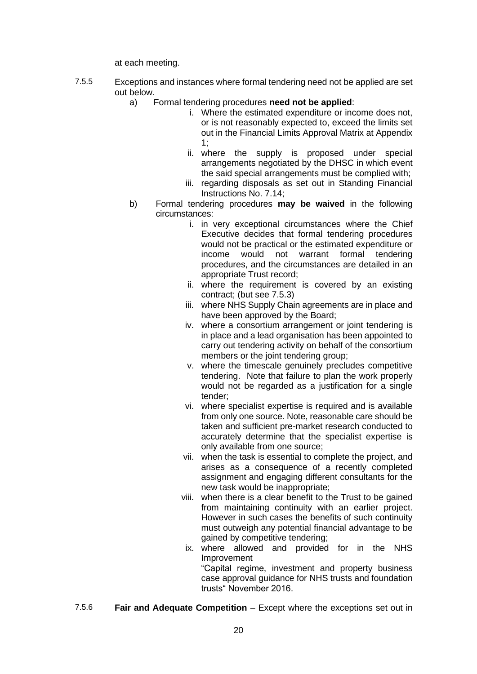at each meeting.

- 7.5.5 Exceptions and instances where formal tendering need not be applied are set out below.
	- a) Formal tendering procedures **need not be applied**:
		- i. Where the estimated expenditure or income does not, or is not reasonably expected to, exceed the limits set out in the Financial Limits Approval Matrix at Appendix 1;
		- ii. where the supply is proposed under special arrangements negotiated by the DHSC in which event the said special arrangements must be complied with;
		- iii. regarding disposals as set out in Standing Financial Instructions No. 7.14;
	- b) Formal tendering procedures **may be waived** in the following circumstances:
		- i. in very exceptional circumstances where the Chief Executive decides that formal tendering procedures would not be practical or the estimated expenditure or income would not warrant formal tendering procedures, and the circumstances are detailed in an appropriate Trust record;
		- ii. where the requirement is covered by an existing contract; (but see 7.5.3)
		- iii. where NHS Supply Chain agreements are in place and have been approved by the Board;
		- iv. where a consortium arrangement or joint tendering is in place and a lead organisation has been appointed to carry out tendering activity on behalf of the consortium members or the joint tendering group;
		- v. where the timescale genuinely precludes competitive tendering. Note that failure to plan the work properly would not be regarded as a justification for a single tender;
		- vi. where specialist expertise is required and is available from only one source. Note, reasonable care should be taken and sufficient pre-market research conducted to accurately determine that the specialist expertise is only available from one source;
		- vii. when the task is essential to complete the project, and arises as a consequence of a recently completed assignment and engaging different consultants for the new task would be inappropriate;
		- viii. when there is a clear benefit to the Trust to be gained from maintaining continuity with an earlier project. However in such cases the benefits of such continuity must outweigh any potential financial advantage to be gained by competitive tendering;
		- ix. where allowed and provided for in the NHS Improvement "Capital regime, investment and property business case approval guidance for NHS trusts and foundation trusts" November 2016.
- 7.5.6 **Fair and Adequate Competition** Except where the exceptions set out in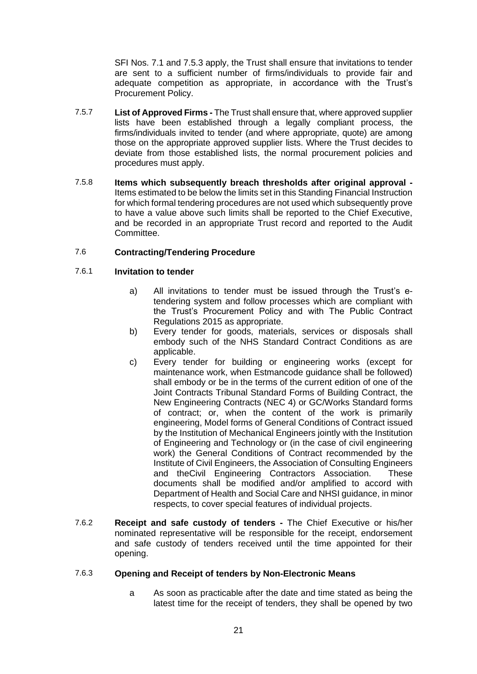SFI Nos. 7.1 and 7.5.3 apply, the Trust shall ensure that invitations to tender are sent to a sufficient number of firms/individuals to provide fair and adequate competition as appropriate, in accordance with the Trust's Procurement Policy.

- 7.5.7 **List of Approved Firms -** The Trust shall ensure that, where approved supplier lists have been established through a legally compliant process, the firms/individuals invited to tender (and where appropriate, quote) are among those on the appropriate approved supplier lists. Where the Trust decides to deviate from those established lists, the normal procurement policies and procedures must apply.
- 7.5.8 **Items which subsequently breach thresholds after original approval -** Items estimated to be below the limits set in this Standing Financial Instruction for which formal tendering procedures are not used which subsequently prove to have a value above such limits shall be reported to the Chief Executive, and be recorded in an appropriate Trust record and reported to the Audit Committee.

#### 7.6 **Contracting/Tendering Procedure**

#### 7.6.1 **Invitation to tender**

- a) All invitations to tender must be issued through the Trust's etendering system and follow processes which are compliant with the Trust's Procurement Policy and with The Public Contract Regulations 2015 as appropriate.
- b) Every tender for goods, materials, services or disposals shall embody such of the NHS Standard Contract Conditions as are applicable.
- c) Every tender for building or engineering works (except for maintenance work, when Estmancode guidance shall be followed) shall embody or be in the terms of the current edition of one of the Joint Contracts Tribunal Standard Forms of Building Contract, the New Engineering Contracts (NEC 4) or GC/Works Standard forms of contract; or, when the content of the work is primarily engineering, Model forms of General Conditions of Contract issued by the Institution of Mechanical Engineers jointly with the Institution of Engineering and Technology or (in the case of civil engineering work) the General Conditions of Contract recommended by the Institute of Civil Engineers, the Association of Consulting Engineers and theCivil Engineering Contractors Association. These documents shall be modified and/or amplified to accord with Department of Health and Social Care and NHSI guidance, in minor respects, to cover special features of individual projects.
- 7.6.2 **Receipt and safe custody of tenders -** The Chief Executive or his/her nominated representative will be responsible for the receipt, endorsement and safe custody of tenders received until the time appointed for their opening.

#### 7.6.3 **Opening and Receipt of tenders by Non-Electronic Means**

a As soon as practicable after the date and time stated as being the latest time for the receipt of tenders, they shall be opened by two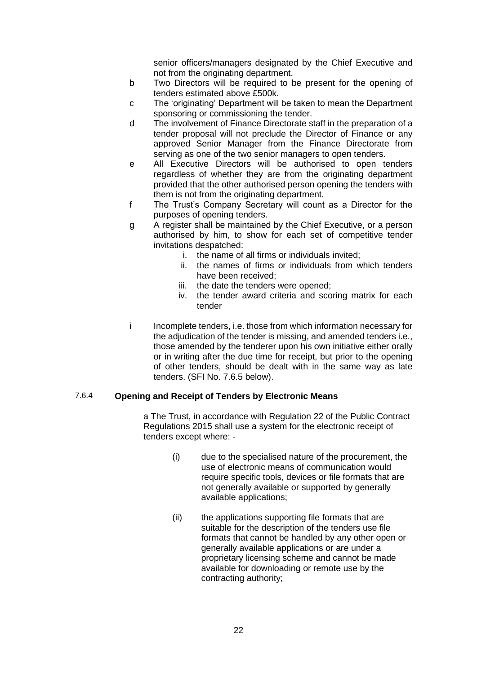senior officers/managers designated by the Chief Executive and not from the originating department.

- b Two Directors will be required to be present for the opening of tenders estimated above £500k.
- c The 'originating' Department will be taken to mean the Department sponsoring or commissioning the tender.
- d The involvement of Finance Directorate staff in the preparation of a tender proposal will not preclude the Director of Finance or any approved Senior Manager from the Finance Directorate from serving as one of the two senior managers to open tenders.
- e All Executive Directors will be authorised to open tenders regardless of whether they are from the originating department provided that the other authorised person opening the tenders with them is not from the originating department.
- f The Trust's Company Secretary will count as a Director for the purposes of opening tenders.
- g A register shall be maintained by the Chief Executive, or a person authorised by him, to show for each set of competitive tender invitations despatched:
	- i. the name of all firms or individuals invited;
	- ii. the names of firms or individuals from which tenders have been received;
	- iii. the date the tenders were opened;
	- iv. the tender award criteria and scoring matrix for each tender
- i Incomplete tenders, i.e. those from which information necessary for the adjudication of the tender is missing, and amended tenders i.e., those amended by the tenderer upon his own initiative either orally or in writing after the due time for receipt, but prior to the opening of other tenders, should be dealt with in the same way as late tenders. (SFI No. 7.6.5 below).

#### 7.6.4 **Opening and Receipt of Tenders by Electronic Means**

a The Trust, in accordance with Regulation 22 of the Public Contract Regulations 2015 shall use a system for the electronic receipt of tenders except where: -

- (i) due to the specialised nature of the procurement, the use of electronic means of communication would require specific tools, devices or file formats that are not generally available or supported by generally available applications;
- (ii) the applications supporting file formats that are suitable for the description of the tenders use file formats that cannot be handled by any other open or generally available applications or are under a proprietary licensing scheme and cannot be made available for downloading or remote use by the contracting authority;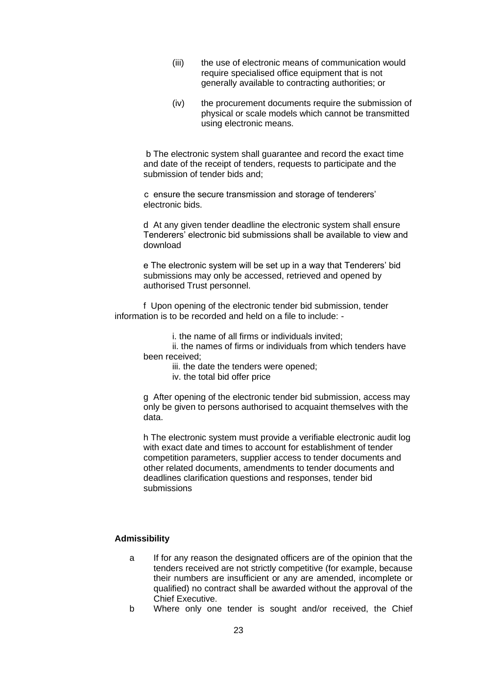- (iii) the use of electronic means of communication would require specialised office equipment that is not generally available to contracting authorities; or
- (iv) the procurement documents require the submission of physical or scale models which cannot be transmitted using electronic means.

b The electronic system shall guarantee and record the exact time and date of the receipt of tenders, requests to participate and the submission of tender bids and;

 c ensure the secure transmission and storage of tenderers' electronic bids.

d At any given tender deadline the electronic system shall ensure Tenderers' electronic bid submissions shall be available to view and download

e The electronic system will be set up in a way that Tenderers' bid submissions may only be accessed, retrieved and opened by authorised Trust personnel.

f Upon opening of the electronic tender bid submission, tender information is to be recorded and held on a file to include: -

i. the name of all firms or individuals invited;

ii. the names of firms or individuals from which tenders have been received;

iii. the date the tenders were opened;

iv. the total bid offer price

g After opening of the electronic tender bid submission, access may only be given to persons authorised to acquaint themselves with the data.

h The electronic system must provide a verifiable electronic audit log with exact date and times to account for establishment of tender competition parameters, supplier access to tender documents and other related documents, amendments to tender documents and deadlines clarification questions and responses, tender bid submissions

#### **Admissibility**

- a If for any reason the designated officers are of the opinion that the tenders received are not strictly competitive (for example, because their numbers are insufficient or any are amended, incomplete or qualified) no contract shall be awarded without the approval of the Chief Executive.
- b Where only one tender is sought and/or received, the Chief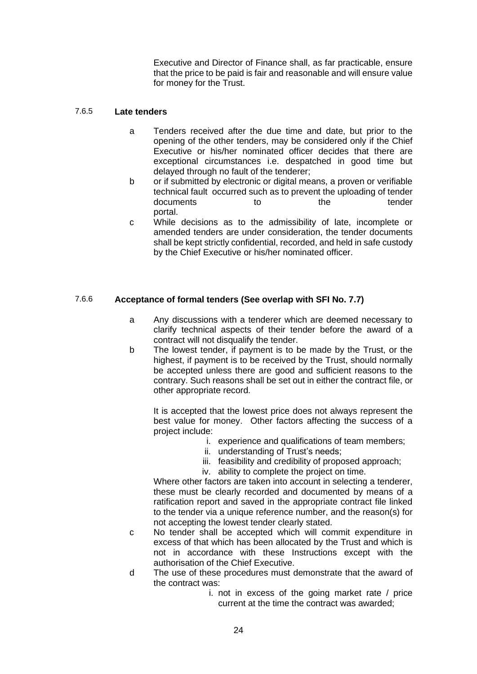Executive and Director of Finance shall, as far practicable, ensure that the price to be paid is fair and reasonable and will ensure value for money for the Trust.

#### 7.6.5 **Late tenders**

- a Tenders received after the due time and date, but prior to the opening of the other tenders, may be considered only if the Chief Executive or his/her nominated officer decides that there are exceptional circumstances i.e. despatched in good time but delayed through no fault of the tenderer;
- b or if submitted by electronic or digital means, a proven or verifiable technical fault occurred such as to prevent the uploading of tender<br>documents to the the tender documents to the the portal.
- c While decisions as to the admissibility of late, incomplete or amended tenders are under consideration, the tender documents shall be kept strictly confidential, recorded, and held in safe custody by the Chief Executive or his/her nominated officer.

### 7.6.6 **Acceptance of formal tenders (See overlap with SFI No. 7.7)**

- a Any discussions with a tenderer which are deemed necessary to clarify technical aspects of their tender before the award of a contract will not disqualify the tender.
- b The lowest tender, if payment is to be made by the Trust, or the highest, if payment is to be received by the Trust, should normally be accepted unless there are good and sufficient reasons to the contrary. Such reasons shall be set out in either the contract file, or other appropriate record.

It is accepted that the lowest price does not always represent the best value for money. Other factors affecting the success of a project include:

- i. experience and qualifications of team members;
- ii. understanding of Trust's needs;
- iii. feasibility and credibility of proposed approach;
- iv. ability to complete the project on time.

Where other factors are taken into account in selecting a tenderer, these must be clearly recorded and documented by means of a ratification report and saved in the appropriate contract file linked to the tender via a unique reference number, and the reason(s) for not accepting the lowest tender clearly stated.

- c No tender shall be accepted which will commit expenditure in excess of that which has been allocated by the Trust and which is not in accordance with these Instructions except with the authorisation of the Chief Executive.
- d The use of these procedures must demonstrate that the award of the contract was:
	- i. not in excess of the going market rate / price current at the time the contract was awarded;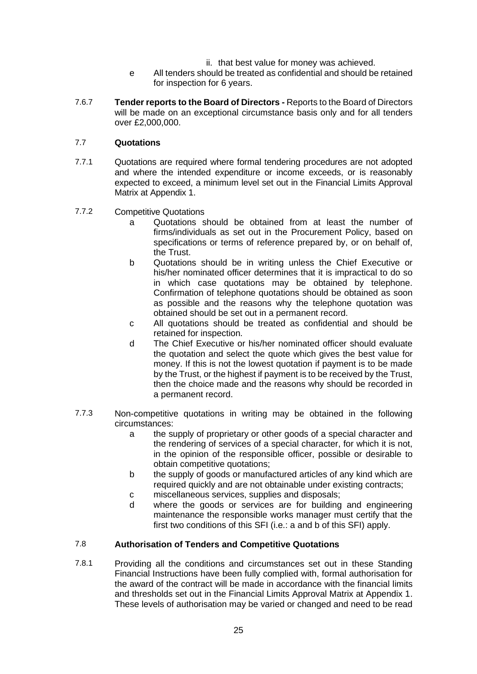- ii. that best value for money was achieved.
- e All tenders should be treated as confidential and should be retained for inspection for 6 years.
- 7.6.7 **Tender reports to the Board of Directors -** Reports to the Board of Directors will be made on an exceptional circumstance basis only and for all tenders over £2,000,000.

#### 7.7 **Quotations**

- 7.7.1 Quotations are required where formal tendering procedures are not adopted and where the intended expenditure or income exceeds, or is reasonably expected to exceed, a minimum level set out in the Financial Limits Approval Matrix at Appendix 1.
- 7.7.2 Competitive Quotations
	- a Quotations should be obtained from at least the number of firms/individuals as set out in the Procurement Policy, based on specifications or terms of reference prepared by, or on behalf of, the Trust.
	- b Quotations should be in writing unless the Chief Executive or his/her nominated officer determines that it is impractical to do so in which case quotations may be obtained by telephone. Confirmation of telephone quotations should be obtained as soon as possible and the reasons why the telephone quotation was obtained should be set out in a permanent record.
	- c All quotations should be treated as confidential and should be retained for inspection.
	- d The Chief Executive or his/her nominated officer should evaluate the quotation and select the quote which gives the best value for money. If this is not the lowest quotation if payment is to be made by the Trust, or the highest if payment is to be received by the Trust, then the choice made and the reasons why should be recorded in a permanent record.
- 7.7.3 Non-competitive quotations in writing may be obtained in the following circumstances:
	- a the supply of proprietary or other goods of a special character and the rendering of services of a special character, for which it is not, in the opinion of the responsible officer, possible or desirable to obtain competitive quotations;
	- b the supply of goods or manufactured articles of any kind which are required quickly and are not obtainable under existing contracts;
	- c miscellaneous services, supplies and disposals;
	- d where the goods or services are for building and engineering maintenance the responsible works manager must certify that the first two conditions of this SFI (i.e.: a and b of this SFI) apply.

#### 7.8 **Authorisation of Tenders and Competitive Quotations**

7.8.1 Providing all the conditions and circumstances set out in these Standing Financial Instructions have been fully complied with, formal authorisation for the award of the contract will be made in accordance with the financial limits and thresholds set out in the Financial Limits Approval Matrix at Appendix 1. These levels of authorisation may be varied or changed and need to be read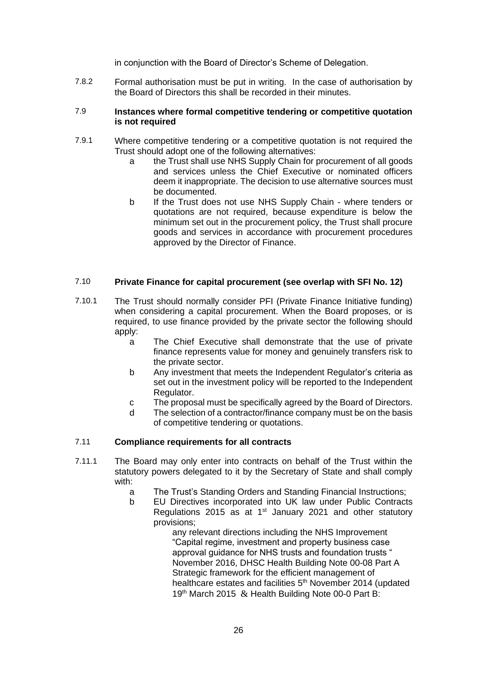in conjunction with the Board of Director's Scheme of Delegation.

7.8.2 Formal authorisation must be put in writing. In the case of authorisation by the Board of Directors this shall be recorded in their minutes.

#### 7.9 **Instances where formal competitive tendering or competitive quotation is not required**

- 7.9.1 Where competitive tendering or a competitive quotation is not required the Trust should adopt one of the following alternatives:
	- a the Trust shall use NHS Supply Chain for procurement of all goods and services unless the Chief Executive or nominated officers deem it inappropriate. The decision to use alternative sources must be documented.
	- b If the Trust does not use NHS Supply Chain where tenders or quotations are not required, because expenditure is below the minimum set out in the procurement policy, the Trust shall procure goods and services in accordance with procurement procedures approved by the Director of Finance.

### 7.10 **Private Finance for capital procurement (see overlap with SFI No. 12)**

- 7.10.1 The Trust should normally consider PFI (Private Finance Initiative funding) when considering a capital procurement. When the Board proposes, or is required, to use finance provided by the private sector the following should apply:
	- a The Chief Executive shall demonstrate that the use of private finance represents value for money and genuinely transfers risk to the private sector.
	- b Any investment that meets the Independent Regulator's criteria as set out in the investment policy will be reported to the Independent Regulator.
	- c The proposal must be specifically agreed by the Board of Directors.
	- d The selection of a contractor/finance company must be on the basis of competitive tendering or quotations.

#### 7.11 **Compliance requirements for all contracts**

- 7.11.1 The Board may only enter into contracts on behalf of the Trust within the statutory powers delegated to it by the Secretary of State and shall comply with:
	- a The Trust's Standing Orders and Standing Financial Instructions;
	- b EU Directives incorporated into UK law under Public Contracts Regulations 2015 as at  $1<sup>st</sup>$  January 2021 and other statutory provisions;

any relevant directions including the NHS Improvement "Capital regime, investment and property business case approval quidance for NHS trusts and foundation trusts " November 2016, DHSC [Health Building Note 00-08 Part A](https://www.thenbs.com/PublicationIndex/documents/details?Pub=DH&DocID=308171)  [Strategic framework for the efficient management of](https://www.thenbs.com/PublicationIndex/documents/details?Pub=DH&DocID=308171)  [healthcare estates and facilities](https://www.thenbs.com/PublicationIndex/documents/details?Pub=DH&DocID=308171) 5<sup>th</sup> November 2014 (updated 19<sup>th</sup> March 2015 & Health Building Note 00-0 Part B: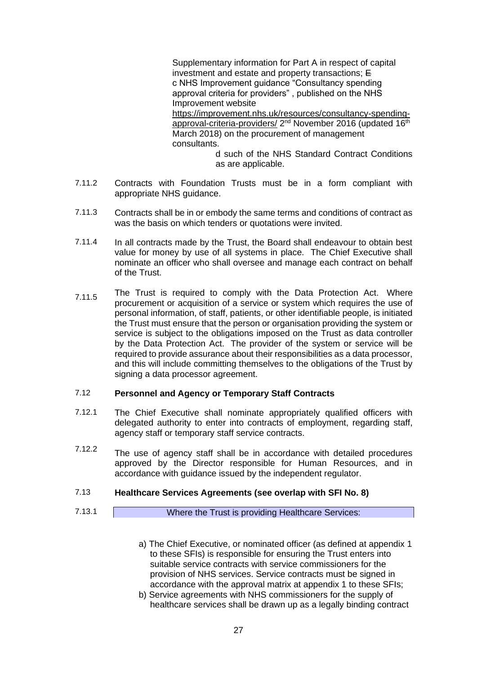Supplementary information for Part A in respect of capital investment and estate and property transactions; E c NHS Improvement guidance "Consultancy spending approval criteria for providers" , published on the NHS Improvement website [https://improvement.nhs.uk/resources/consultancy-spending](https://improvement.nhs.uk/resources/consultancy-spending-approval-criteria-providers/)<u>[approval-criteria-providers/](https://improvement.nhs.uk/resources/consultancy-spending-approval-criteria-providers/)</u> 2<sup>nd</sup> November 2016 (updated 16<sup>th</sup> March 2018) on the procurement of management consultants.

d such of the NHS Standard Contract Conditions as are applicable.

- 7.11.2 Contracts with Foundation Trusts must be in a form compliant with appropriate NHS guidance.
- 7.11.3 Contracts shall be in or embody the same terms and conditions of contract as was the basis on which tenders or quotations were invited.
- 7.11.4 In all contracts made by the Trust, the Board shall endeavour to obtain best value for money by use of all systems in place. The Chief Executive shall nominate an officer who shall oversee and manage each contract on behalf of the Trust.
- 7.11.5 The Trust is required to comply with the Data Protection Act. Where procurement or acquisition of a service or system which requires the use of personal information, of staff, patients, or other identifiable people, is initiated the Trust must ensure that the person or organisation providing the system or service is subject to the obligations imposed on the Trust as data controller by the Data Protection Act. The provider of the system or service will be required to provide assurance about their responsibilities as a data processor, and this will include committing themselves to the obligations of the Trust by signing a data processor agreement.

#### 7.12 **Personnel and Agency or Temporary Staff Contracts**

- 7.12.1 The Chief Executive shall nominate appropriately qualified officers with delegated authority to enter into contracts of employment, regarding staff, agency staff or temporary staff service contracts.
- 7.12.2 The use of agency staff shall be in accordance with detailed procedures approved by the Director responsible for Human Resources, and in accordance with guidance issued by the independent regulator.

#### 7.13 **Healthcare Services Agreements (see overlap with SFI No. 8)**

7.13.1 Where the Trust is providing Healthcare Services:

- a) The Chief Executive, or nominated officer (as defined at appendix 1 to these SFIs) is responsible for ensuring the Trust enters into suitable service contracts with service commissioners for the provision of NHS services. Service contracts must be signed in accordance with the approval matrix at appendix 1 to these SFIs;
- b) Service agreements with NHS commissioners for the supply of healthcare services shall be drawn up as a legally binding contract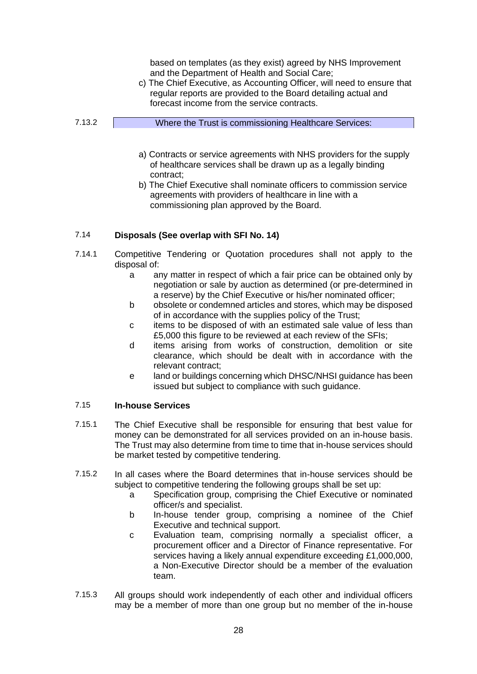|        | based on templates (as they exist) agreed by NHS Improvement<br>and the Department of Health and Social Care;<br>c) The Chief Executive, as Accounting Officer, will need to ensure that<br>regular reports are provided to the Board detailing actual and<br>forecast income from the service contracts. |
|--------|-----------------------------------------------------------------------------------------------------------------------------------------------------------------------------------------------------------------------------------------------------------------------------------------------------------|
| 7.13.2 | Where the Trust is commissioning Healthcare Services:                                                                                                                                                                                                                                                     |
|        | a) Contracts or service agreements with NHS providers for the supply<br>of healthcare services shall be drawn up as a legally binding<br>contract;<br>h) The Chief Executive shall nominate officers to commission service                                                                                |

hief Executive shall nominate officers to commission service agreements with providers of healthcare in line with a commissioning plan approved by the Board.

#### 7.14 **Disposals (See overlap with SFI No. 14)**

- 7.14.1 Competitive Tendering or Quotation procedures shall not apply to the disposal of:
	- a any matter in respect of which a fair price can be obtained only by negotiation or sale by auction as determined (or pre-determined in a reserve) by the Chief Executive or his/her nominated officer;
	- b obsolete or condemned articles and stores, which may be disposed of in accordance with the supplies policy of the Trust;
	- c items to be disposed of with an estimated sale value of less than £5,000 this figure to be reviewed at each review of the SFIs;
	- d items arising from works of construction, demolition or site clearance, which should be dealt with in accordance with the relevant contract;
	- e land or buildings concerning which DHSC/NHSI guidance has been issued but subject to compliance with such guidance.

#### 7.15 **In-house Services**

- 7.15.1 The Chief Executive shall be responsible for ensuring that best value for money can be demonstrated for all services provided on an in-house basis. The Trust may also determine from time to time that in-house services should be market tested by competitive tendering.
- 7.15.2 In all cases where the Board determines that in-house services should be subject to competitive tendering the following groups shall be set up:
	- a Specification group, comprising the Chief Executive or nominated officer/s and specialist.
	- b In-house tender group, comprising a nominee of the Chief Executive and technical support.
	- c Evaluation team, comprising normally a specialist officer, a procurement officer and a Director of Finance representative. For services having a likely annual expenditure exceeding £1,000,000, a Non-Executive Director should be a member of the evaluation team.
- 7.15.3 All groups should work independently of each other and individual officers may be a member of more than one group but no member of the in-house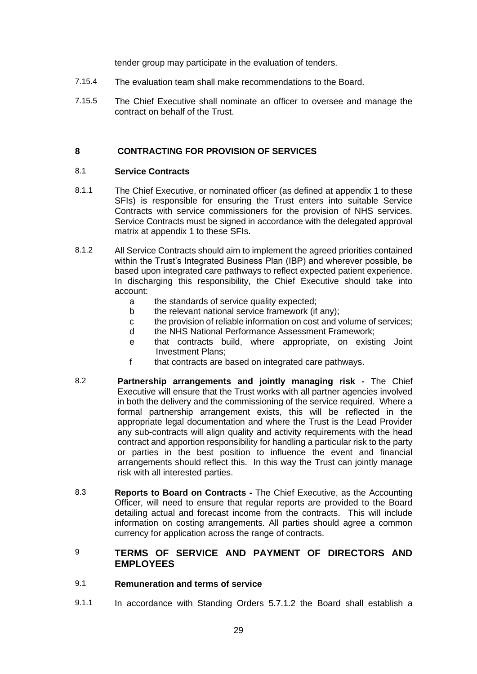tender group may participate in the evaluation of tenders.

- 7.15.4 The evaluation team shall make recommendations to the Board.
- 7.15.5 The Chief Executive shall nominate an officer to oversee and manage the contract on behalf of the Trust.

### **8 CONTRACTING FOR PROVISION OF SERVICES**

#### 8.1 **Service Contracts**

- 8.1.1 The Chief Executive, or nominated officer (as defined at appendix 1 to these SFIs) is responsible for ensuring the Trust enters into suitable Service Contracts with service commissioners for the provision of NHS services. Service Contracts must be signed in accordance with the delegated approval matrix at appendix 1 to these SFIs.
- 8.1.2 All Service Contracts should aim to implement the agreed priorities contained within the Trust's Integrated Business Plan (IBP) and wherever possible, be based upon integrated care pathways to reflect expected patient experience. In discharging this responsibility, the Chief Executive should take into account:
	- a the standards of service quality expected;
	- b the relevant national service framework (if any);
	- c the provision of reliable information on cost and volume of services;
	- d the NHS National Performance Assessment Framework;
	- e that contracts build, where appropriate, on existing Joint Investment Plans;
	- f that contracts are based on integrated care pathways.
- 8.2 **Partnership arrangements and jointly managing risk -** The Chief Executive will ensure that the Trust works with all partner agencies involved in both the delivery and the commissioning of the service required. Where a formal partnership arrangement exists, this will be reflected in the appropriate legal documentation and where the Trust is the Lead Provider any sub-contracts will align quality and activity requirements with the head contract and apportion responsibility for handling a particular risk to the party or parties in the best position to influence the event and financial arrangements should reflect this. In this way the Trust can jointly manage risk with all interested parties.
- 8.3 **Reports to Board on Contracts -** The Chief Executive, as the Accounting Officer, will need to ensure that regular reports are provided to the Board detailing actual and forecast income from the contracts. This will include information on costing arrangements. All parties should agree a common currency for application across the range of contracts.
- 9 **TERMS OF SERVICE AND PAYMENT OF DIRECTORS AND EMPLOYEES**

#### 9.1 **Remuneration and terms of service**

9.1.1 In accordance with Standing Orders 5.7.1.2 the Board shall establish a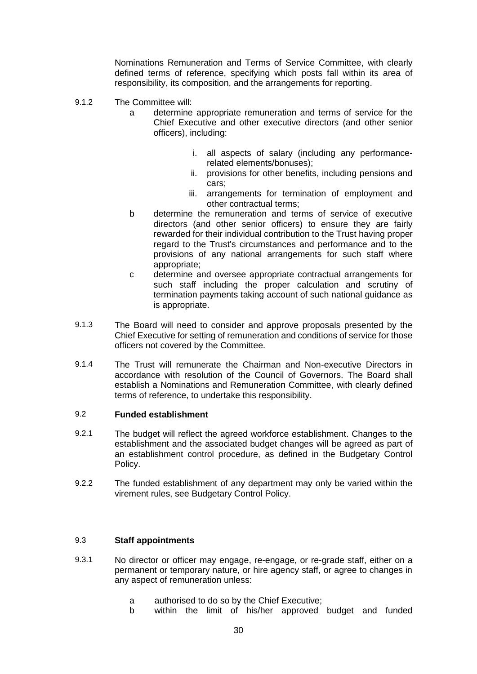Nominations Remuneration and Terms of Service Committee, with clearly defined terms of reference, specifying which posts fall within its area of responsibility, its composition, and the arrangements for reporting.

- 9.1.2 The Committee will:
	- a determine appropriate remuneration and terms of service for the Chief Executive and other executive directors (and other senior officers), including:
		- i. all aspects of salary (including any performancerelated elements/bonuses);
		- ii. provisions for other benefits, including pensions and cars;
		- iii. arrangements for termination of employment and other contractual terms;
	- b determine the remuneration and terms of service of executive directors (and other senior officers) to ensure they are fairly rewarded for their individual contribution to the Trust having proper regard to the Trust's circumstances and performance and to the provisions of any national arrangements for such staff where appropriate;
	- c determine and oversee appropriate contractual arrangements for such staff including the proper calculation and scrutiny of termination payments taking account of such national guidance as is appropriate.
- 9.1.3 The Board will need to consider and approve proposals presented by the Chief Executive for setting of remuneration and conditions of service for those officers not covered by the Committee.
- 9.1.4 The Trust will remunerate the Chairman and Non-executive Directors in accordance with resolution of the Council of Governors. The Board shall establish a Nominations and Remuneration Committee, with clearly defined terms of reference, to undertake this responsibility.

#### 9.2 **Funded establishment**

- 9.2.1 The budget will reflect the agreed workforce establishment. Changes to the establishment and the associated budget changes will be agreed as part of an establishment control procedure, as defined in the Budgetary Control Policy.
- 9.2.2 The funded establishment of any department may only be varied within the virement rules, see Budgetary Control Policy.

### 9.3 **Staff appointments**

- 9.3.1 No director or officer may engage, re-engage, or re-grade staff, either on a permanent or temporary nature, or hire agency staff, or agree to changes in any aspect of remuneration unless:
	- a authorised to do so by the Chief Executive;
	- b within the limit of his/her approved budget and funded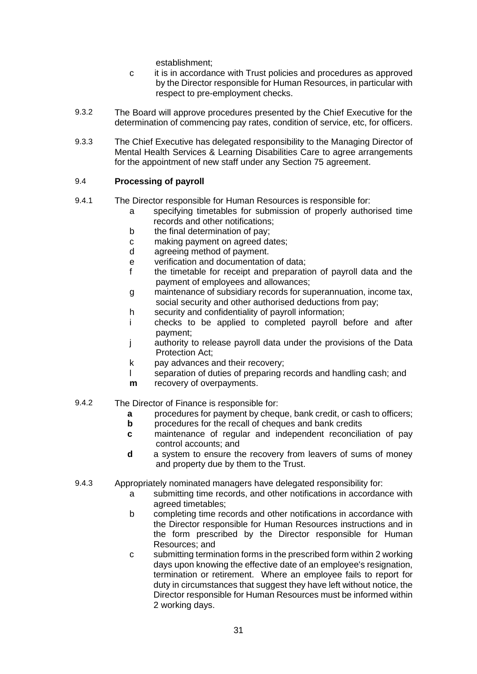establishment;

- c it is in accordance with Trust policies and procedures as approved by the Director responsible for Human Resources, in particular with respect to pre-employment checks.
- 9.3.2 The Board will approve procedures presented by the Chief Executive for the determination of commencing pay rates, condition of service, etc, for officers.
- 9.3.3 The Chief Executive has delegated responsibility to the Managing Director of Mental Health Services & Learning Disabilities Care to agree arrangements for the appointment of new staff under any Section 75 agreement.

### 9.4 **Processing of payroll**

- 9.4.1 The Director responsible for Human Resources is responsible for:
	- a specifying timetables for submission of properly authorised time records and other notifications;
	- b the final determination of pay;<br>c making payment on agreed da
	- making payment on agreed dates;
	- d agreeing method of payment.
	- e verification and documentation of data;
	- f the timetable for receipt and preparation of payroll data and the payment of employees and allowances;
	- g maintenance of subsidiary records for superannuation, income tax, social security and other authorised deductions from pay;
	- h security and confidentiality of payroll information;
	- i checks to be applied to completed payroll before and after payment;
	- j authority to release payroll data under the provisions of the Data Protection Act;
	- k pay advances and their recovery;
	- l separation of duties of preparing records and handling cash; and
	- **m** recovery of overpayments.
- 9.4.2 The Director of Finance is responsible for:
	- **a** procedures for payment by cheque, bank credit, or cash to officers;
	- **b** procedures for the recall of cheques and bank credits
	- **c** maintenance of regular and independent reconciliation of pay control accounts; and
	- **d** a system to ensure the recovery from leavers of sums of money and property due by them to the Trust.
- 9.4.3 Appropriately nominated managers have delegated responsibility for:
	- a submitting time records, and other notifications in accordance with agreed timetables;
	- b completing time records and other notifications in accordance with the Director responsible for Human Resources instructions and in the form prescribed by the Director responsible for Human Resources; and
	- c submitting termination forms in the prescribed form within 2 working days upon knowing the effective date of an employee's resignation, termination or retirement. Where an employee fails to report for duty in circumstances that suggest they have left without notice, the Director responsible for Human Resources must be informed within 2 working days.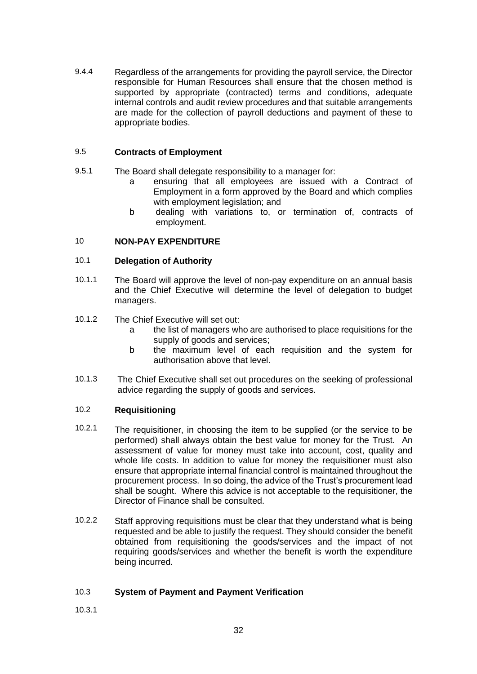9.4.4 Regardless of the arrangements for providing the payroll service, the Director responsible for Human Resources shall ensure that the chosen method is supported by appropriate (contracted) terms and conditions, adequate internal controls and audit review procedures and that suitable arrangements are made for the collection of payroll deductions and payment of these to appropriate bodies.

### 9.5 **Contracts of Employment**

- 9.5.1 The Board shall delegate responsibility to a manager for:
	- a ensuring that all employees are issued with a Contract of Employment in a form approved by the Board and which complies with employment legislation; and
	- b dealing with variations to, or termination of, contracts of employment.

### 10 **NON-PAY EXPENDITURE**

### 10.1 **Delegation of Authority**

- 10.1.1 The Board will approve the level of non-pay expenditure on an annual basis and the Chief Executive will determine the level of delegation to budget managers.
- 10.1.2 The Chief Executive will set out:
	- a the list of managers who are authorised to place requisitions for the supply of goods and services;
	- b the maximum level of each requisition and the system for authorisation above that level.
- 10.1.3 The Chief Executive shall set out procedures on the seeking of professional advice regarding the supply of goods and services.

#### 10.2 **Requisitioning**

- 10.2.1 The requisitioner, in choosing the item to be supplied (or the service to be performed) shall always obtain the best value for money for the Trust. An assessment of value for money must take into account, cost, quality and whole life costs. In addition to value for money the requisitioner must also ensure that appropriate internal financial control is maintained throughout the procurement process. In so doing, the advice of the Trust's procurement lead shall be sought. Where this advice is not acceptable to the requisitioner, the Director of Finance shall be consulted.
- 10.2.2 Staff approving requisitions must be clear that they understand what is being requested and be able to justify the request. They should consider the benefit obtained from requisitioning the goods/services and the impact of not requiring goods/services and whether the benefit is worth the expenditure being incurred.

#### 10.3 **System of Payment and Payment Verification**

10.3.1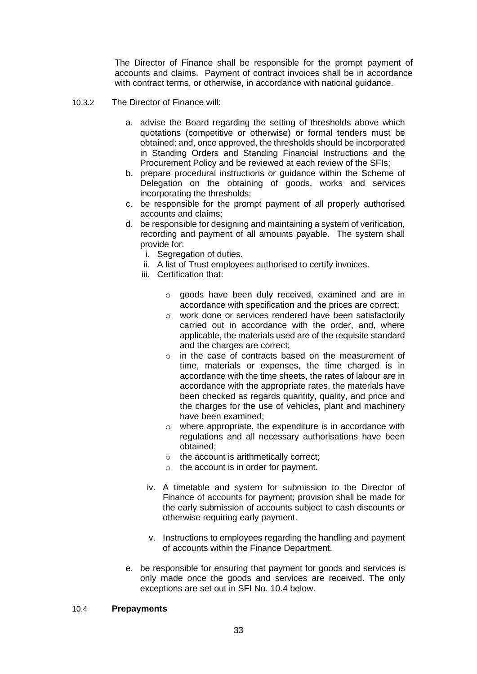The Director of Finance shall be responsible for the prompt payment of accounts and claims. Payment of contract invoices shall be in accordance with contract terms, or otherwise, in accordance with national guidance.

- 10.3.2 The Director of Finance will:
	- a. advise the Board regarding the setting of thresholds above which quotations (competitive or otherwise) or formal tenders must be obtained; and, once approved, the thresholds should be incorporated in Standing Orders and Standing Financial Instructions and the Procurement Policy and be reviewed at each review of the SFIs;
	- b. prepare procedural instructions or guidance within the Scheme of Delegation on the obtaining of goods, works and services incorporating the thresholds;
	- c. be responsible for the prompt payment of all properly authorised accounts and claims;
	- d. be responsible for designing and maintaining a system of verification, recording and payment of all amounts payable. The system shall provide for:
		- i. Segregation of duties.
		- ii. A list of Trust employees authorised to certify invoices.
		- iii. Certification that:
			- o goods have been duly received, examined and are in accordance with specification and the prices are correct;
			- o work done or services rendered have been satisfactorily carried out in accordance with the order, and, where applicable, the materials used are of the requisite standard and the charges are correct;
			- o in the case of contracts based on the measurement of time, materials or expenses, the time charged is in accordance with the time sheets, the rates of labour are in accordance with the appropriate rates, the materials have been checked as regards quantity, quality, and price and the charges for the use of vehicles, plant and machinery have been examined;
			- o where appropriate, the expenditure is in accordance with regulations and all necessary authorisations have been obtained;
			- o the account is arithmetically correct;
			- $\circ$  the account is in order for payment.
			- iv. A timetable and system for submission to the Director of Finance of accounts for payment; provision shall be made for the early submission of accounts subject to cash discounts or otherwise requiring early payment.
			- v. Instructions to employees regarding the handling and payment of accounts within the Finance Department.
	- e. be responsible for ensuring that payment for goods and services is only made once the goods and services are received. The only exceptions are set out in SFI No. 10.4 below.

#### 10.4 **Prepayments**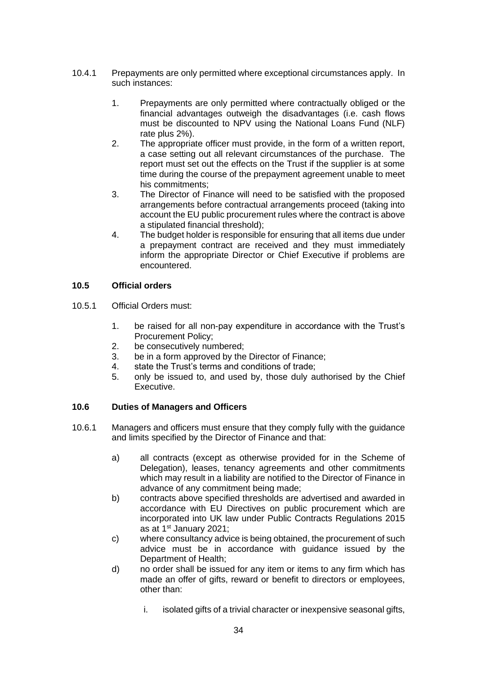- 10.4.1 Prepayments are only permitted where exceptional circumstances apply. In such instances:
	- 1. Prepayments are only permitted where contractually obliged or the financial advantages outweigh the disadvantages (i.e. cash flows must be discounted to NPV using the National Loans Fund (NLF) rate plus 2%).
	- 2. The appropriate officer must provide, in the form of a written report, a case setting out all relevant circumstances of the purchase. The report must set out the effects on the Trust if the supplier is at some time during the course of the prepayment agreement unable to meet his commitments;
	- 3. The Director of Finance will need to be satisfied with the proposed arrangements before contractual arrangements proceed (taking into account the EU public procurement rules where the contract is above a stipulated financial threshold);
	- 4. The budget holder is responsible for ensuring that all items due under a prepayment contract are received and they must immediately inform the appropriate Director or Chief Executive if problems are encountered.

### **10.5 Official orders**

- 10.5.1 Official Orders must:
	- 1. be raised for all non-pay expenditure in accordance with the Trust's Procurement Policy;
	- 2. be consecutively numbered;
	- 3. be in a form approved by the Director of Finance;
	- 4. state the Trust's terms and conditions of trade;
	- 5. only be issued to, and used by, those duly authorised by the Chief Executive.

#### **10.6 Duties of Managers and Officers**

- 10.6.1 Managers and officers must ensure that they comply fully with the guidance and limits specified by the Director of Finance and that:
	- a) all contracts (except as otherwise provided for in the Scheme of Delegation), leases, tenancy agreements and other commitments which may result in a liability are notified to the Director of Finance in advance of any commitment being made;
	- b) contracts above specified thresholds are advertised and awarded in accordance with EU Directives on public procurement which are incorporated into UK law under Public Contracts Regulations 2015 as at 1st January 2021;
	- c) where consultancy advice is being obtained, the procurement of such advice must be in accordance with guidance issued by the Department of Health;
	- d) no order shall be issued for any item or items to any firm which has made an offer of gifts, reward or benefit to directors or employees, other than:
		- i. isolated gifts of a trivial character or inexpensive seasonal gifts,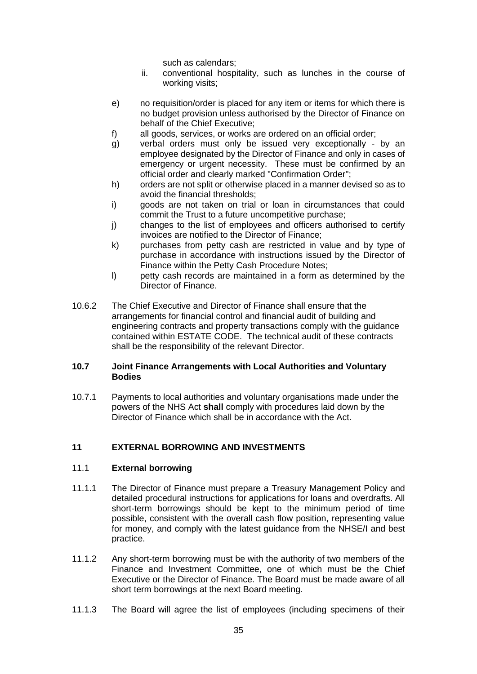such as calendars;

- ii. conventional hospitality, such as lunches in the course of working visits;
- e) no requisition/order is placed for any item or items for which there is no budget provision unless authorised by the Director of Finance on behalf of the Chief Executive;
- f) all goods, services, or works are ordered on an official order;
- g) verbal orders must only be issued very exceptionally by an employee designated by the Director of Finance and only in cases of emergency or urgent necessity. These must be confirmed by an official order and clearly marked "Confirmation Order";
- h) orders are not split or otherwise placed in a manner devised so as to avoid the financial thresholds;
- i) goods are not taken on trial or loan in circumstances that could commit the Trust to a future uncompetitive purchase;
- j) changes to the list of employees and officers authorised to certify invoices are notified to the Director of Finance;
- k) purchases from petty cash are restricted in value and by type of purchase in accordance with instructions issued by the Director of Finance within the Petty Cash Procedure Notes;
- l) petty cash records are maintained in a form as determined by the Director of Finance.
- 10.6.2 The Chief Executive and Director of Finance shall ensure that the arrangements for financial control and financial audit of building and engineering contracts and property transactions comply with the guidance contained within ESTATE CODE. The technical audit of these contracts shall be the responsibility of the relevant Director.

#### **10.7 Joint Finance Arrangements with Local Authorities and Voluntary Bodies**

10.7.1 Payments to local authorities and voluntary organisations made under the powers of the NHS Act **shall** comply with procedures laid down by the Director of Finance which shall be in accordance with the Act.

### **11 EXTERNAL BORROWING AND INVESTMENTS**

#### 11.1 **External borrowing**

- 11.1.1 The Director of Finance must prepare a Treasury Management Policy and detailed procedural instructions for applications for loans and overdrafts. All short-term borrowings should be kept to the minimum period of time possible, consistent with the overall cash flow position, representing value for money, and comply with the latest guidance from the NHSE/I and best practice.
- 11.1.2 Any short-term borrowing must be with the authority of two members of the Finance and Investment Committee, one of which must be the Chief Executive or the Director of Finance. The Board must be made aware of all short term borrowings at the next Board meeting.
- 11.1.3 The Board will agree the list of employees (including specimens of their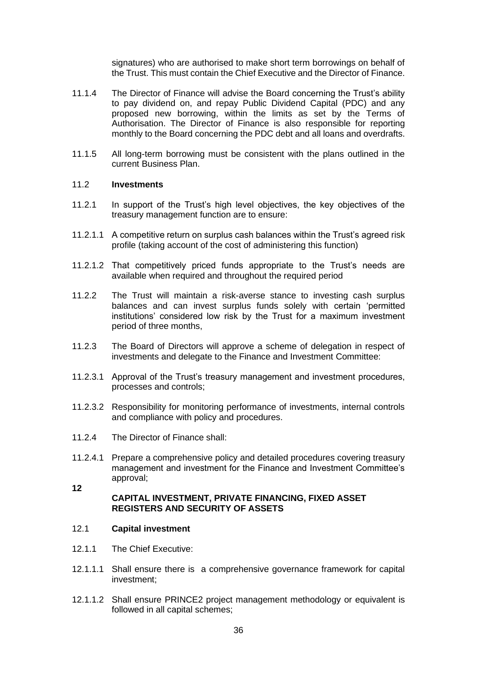signatures) who are authorised to make short term borrowings on behalf of the Trust. This must contain the Chief Executive and the Director of Finance.

- 11.1.4 The Director of Finance will advise the Board concerning the Trust's ability to pay dividend on, and repay Public Dividend Capital (PDC) and any proposed new borrowing, within the limits as set by the Terms of Authorisation. The Director of Finance is also responsible for reporting monthly to the Board concerning the PDC debt and all loans and overdrafts.
- 11.1.5 All long-term borrowing must be consistent with the plans outlined in the current Business Plan.

#### 11.2 **Investments**

- 11.2.1 In support of the Trust's high level objectives, the key objectives of the treasury management function are to ensure:
- 11.2.1.1 A competitive return on surplus cash balances within the Trust's agreed risk profile (taking account of the cost of administering this function)
- 11.2.1.2 That competitively priced funds appropriate to the Trust's needs are available when required and throughout the required period
- 11.2.2 The Trust will maintain a risk-averse stance to investing cash surplus balances and can invest surplus funds solely with certain 'permitted institutions' considered low risk by the Trust for a maximum investment period of three months,
- 11.2.3 The Board of Directors will approve a scheme of delegation in respect of investments and delegate to the Finance and Investment Committee:
- 11.2.3.1 Approval of the Trust's treasury management and investment procedures, processes and controls;
- 11.2.3.2 Responsibility for monitoring performance of investments, internal controls and compliance with policy and procedures.
- 11.2.4 The Director of Finance shall:
- 11.2.4.1 Prepare a comprehensive policy and detailed procedures covering treasury management and investment for the Finance and Investment Committee's approval; **12**

#### **CAPITAL INVESTMENT, PRIVATE FINANCING, FIXED ASSET REGISTERS AND SECURITY OF ASSETS**

#### 12.1 **Capital investment**

- 12.1.1 The Chief Executive:
- 12.1.1.1 Shall ensure there is a comprehensive governance framework for capital investment;
- 12.1.1.2 Shall ensure PRINCE2 project management methodology or equivalent is followed in all capital schemes;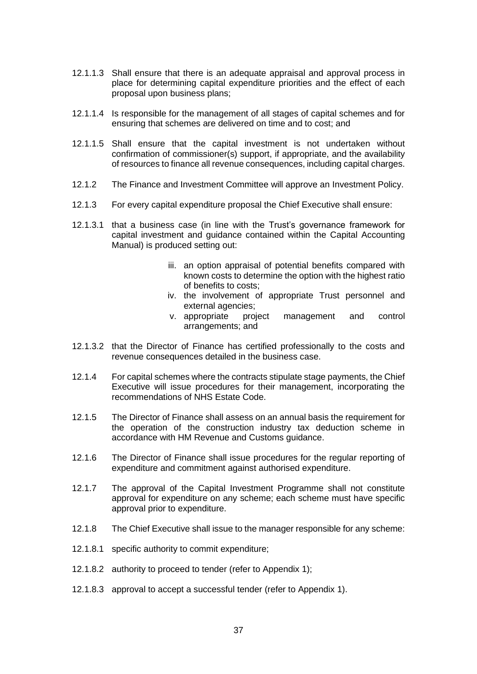- 12.1.1.3 Shall ensure that there is an adequate appraisal and approval process in place for determining capital expenditure priorities and the effect of each proposal upon business plans;
- 12.1.1.4 Is responsible for the management of all stages of capital schemes and for ensuring that schemes are delivered on time and to cost; and
- 12.1.1.5 Shall ensure that the capital investment is not undertaken without confirmation of commissioner(s) support, if appropriate, and the availability of resources to finance all revenue consequences, including capital charges.
- 12.1.2 The Finance and Investment Committee will approve an Investment Policy.
- 12.1.3 For every capital expenditure proposal the Chief Executive shall ensure:
- 12.1.3.1 that a business case (in line with the Trust's governance framework for capital investment and guidance contained within the Capital Accounting Manual) is produced setting out:
	- iii. an option appraisal of potential benefits compared with known costs to determine the option with the highest ratio of benefits to costs;
	- iv. the involvement of appropriate Trust personnel and external agencies;
	- v. appropriate project management and control arrangements; and
- 12.1.3.2 that the Director of Finance has certified professionally to the costs and revenue consequences detailed in the business case.
- 12.1.4 For capital schemes where the contracts stipulate stage payments, the Chief Executive will issue procedures for their management, incorporating the recommendations of NHS Estate Code.
- 12.1.5 The Director of Finance shall assess on an annual basis the requirement for the operation of the construction industry tax deduction scheme in accordance with HM Revenue and Customs guidance.
- 12.1.6 The Director of Finance shall issue procedures for the regular reporting of expenditure and commitment against authorised expenditure.
- 12.1.7 The approval of the Capital Investment Programme shall not constitute approval for expenditure on any scheme; each scheme must have specific approval prior to expenditure.
- 12.1.8 The Chief Executive shall issue to the manager responsible for any scheme:
- 12.1.8.1 specific authority to commit expenditure;
- 12.1.8.2 authority to proceed to tender (refer to Appendix 1);
- 12.1.8.3 approval to accept a successful tender (refer to Appendix 1).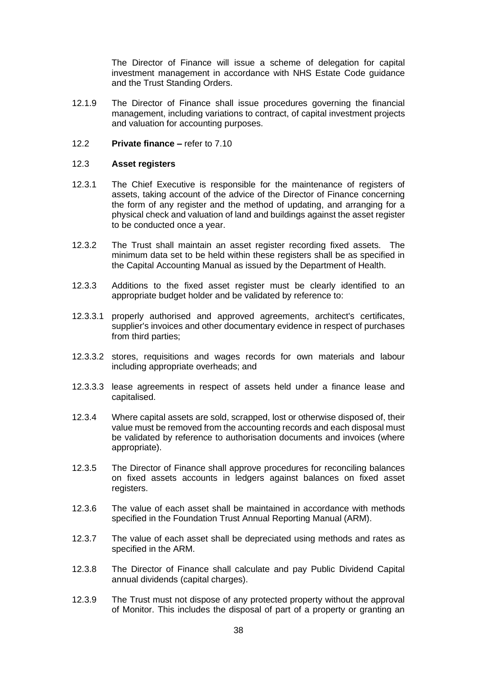The Director of Finance will issue a scheme of delegation for capital investment management in accordance with NHS Estate Code guidance and the Trust Standing Orders.

- 12.1.9 The Director of Finance shall issue procedures governing the financial management, including variations to contract, of capital investment projects and valuation for accounting purposes.
- 12.2 **Private finance –** refer to 7.10

#### 12.3 **Asset registers**

- 12.3.1 The Chief Executive is responsible for the maintenance of registers of assets, taking account of the advice of the Director of Finance concerning the form of any register and the method of updating, and arranging for a physical check and valuation of land and buildings against the asset register to be conducted once a year.
- 12.3.2 The Trust shall maintain an asset register recording fixed assets. The minimum data set to be held within these registers shall be as specified in the Capital Accounting Manual as issued by the Department of Health.
- 12.3.3 Additions to the fixed asset register must be clearly identified to an appropriate budget holder and be validated by reference to:
- 12.3.3.1 properly authorised and approved agreements, architect's certificates, supplier's invoices and other documentary evidence in respect of purchases from third parties;
- 12.3.3.2 stores, requisitions and wages records for own materials and labour including appropriate overheads; and
- 12.3.3.3 lease agreements in respect of assets held under a finance lease and capitalised.
- 12.3.4 Where capital assets are sold, scrapped, lost or otherwise disposed of, their value must be removed from the accounting records and each disposal must be validated by reference to authorisation documents and invoices (where appropriate).
- 12.3.5 The Director of Finance shall approve procedures for reconciling balances on fixed assets accounts in ledgers against balances on fixed asset registers.
- 12.3.6 The value of each asset shall be maintained in accordance with methods specified in the Foundation Trust Annual Reporting Manual (ARM).
- 12.3.7 The value of each asset shall be depreciated using methods and rates as specified in the ARM.
- 12.3.8 The Director of Finance shall calculate and pay Public Dividend Capital annual dividends (capital charges).
- 12.3.9 The Trust must not dispose of any protected property without the approval of Monitor. This includes the disposal of part of a property or granting an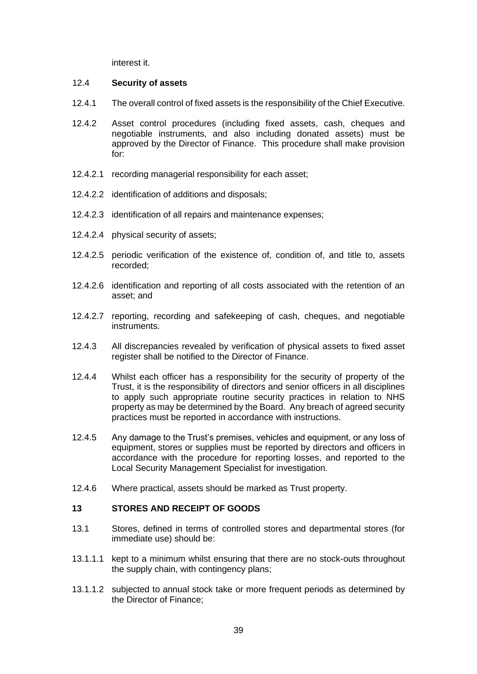interest it.

#### 12.4 **Security of assets**

- 12.4.1 The overall control of fixed assets is the responsibility of the Chief Executive.
- 12.4.2 Asset control procedures (including fixed assets, cash, cheques and negotiable instruments, and also including donated assets) must be approved by the Director of Finance. This procedure shall make provision for:
- 12.4.2.1 recording managerial responsibility for each asset;
- 12.4.2.2 identification of additions and disposals;
- 12.4.2.3 identification of all repairs and maintenance expenses;
- 12.4.2.4 physical security of assets;
- 12.4.2.5 periodic verification of the existence of, condition of, and title to, assets recorded;
- 12.4.2.6 identification and reporting of all costs associated with the retention of an asset; and
- 12.4.2.7 reporting, recording and safekeeping of cash, cheques, and negotiable instruments.
- 12.4.3 All discrepancies revealed by verification of physical assets to fixed asset register shall be notified to the Director of Finance.
- 12.4.4 Whilst each officer has a responsibility for the security of property of the Trust, it is the responsibility of directors and senior officers in all disciplines to apply such appropriate routine security practices in relation to NHS property as may be determined by the Board. Any breach of agreed security practices must be reported in accordance with instructions.
- 12.4.5 Any damage to the Trust's premises, vehicles and equipment, or any loss of equipment, stores or supplies must be reported by directors and officers in accordance with the procedure for reporting losses, and reported to the Local Security Management Specialist for investigation.
- 12.4.6 Where practical, assets should be marked as Trust property.

#### **13 STORES AND RECEIPT OF GOODS**

- 13.1 Stores, defined in terms of controlled stores and departmental stores (for immediate use) should be:
- 13.1.1.1 kept to a minimum whilst ensuring that there are no stock-outs throughout the supply chain, with contingency plans;
- 13.1.1.2 subjected to annual stock take or more frequent periods as determined by the Director of Finance;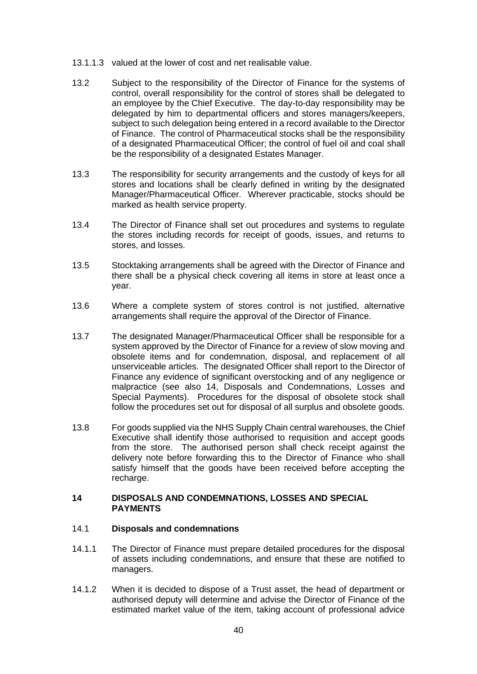- 13.1.1.3 valued at the lower of cost and net realisable value.
- 13.2 Subject to the responsibility of the Director of Finance for the systems of control, overall responsibility for the control of stores shall be delegated to an employee by the Chief Executive. The day-to-day responsibility may be delegated by him to departmental officers and stores managers/keepers, subject to such delegation being entered in a record available to the Director of Finance. The control of Pharmaceutical stocks shall be the responsibility of a designated Pharmaceutical Officer; the control of fuel oil and coal shall be the responsibility of a designated Estates Manager.
- 13.3 The responsibility for security arrangements and the custody of keys for all stores and locations shall be clearly defined in writing by the designated Manager/Pharmaceutical Officer. Wherever practicable, stocks should be marked as health service property.
- 13.4 The Director of Finance shall set out procedures and systems to regulate the stores including records for receipt of goods, issues, and returns to stores, and losses.
- 13.5 Stocktaking arrangements shall be agreed with the Director of Finance and there shall be a physical check covering all items in store at least once a year.
- 13.6 Where a complete system of stores control is not justified, alternative arrangements shall require the approval of the Director of Finance.
- 13.7 The designated Manager/Pharmaceutical Officer shall be responsible for a system approved by the Director of Finance for a review of slow moving and obsolete items and for condemnation, disposal, and replacement of all unserviceable articles. The designated Officer shall report to the Director of Finance any evidence of significant overstocking and of any negligence or malpractice (see also 14, Disposals and Condemnations, Losses and Special Payments). Procedures for the disposal of obsolete stock shall follow the procedures set out for disposal of all surplus and obsolete goods.
- 13.8 For goods supplied via the NHS Supply Chain central warehouses, the Chief Executive shall identify those authorised to requisition and accept goods from the store. The authorised person shall check receipt against the delivery note before forwarding this to the Director of Finance who shall satisfy himself that the goods have been received before accepting the recharge.

#### **14 DISPOSALS AND CONDEMNATIONS, LOSSES AND SPECIAL PAYMENTS**

#### 14.1 **Disposals and condemnations**

- 14.1.1 The Director of Finance must prepare detailed procedures for the disposal of assets including condemnations, and ensure that these are notified to managers.
- 14.1.2 When it is decided to dispose of a Trust asset, the head of department or authorised deputy will determine and advise the Director of Finance of the estimated market value of the item, taking account of professional advice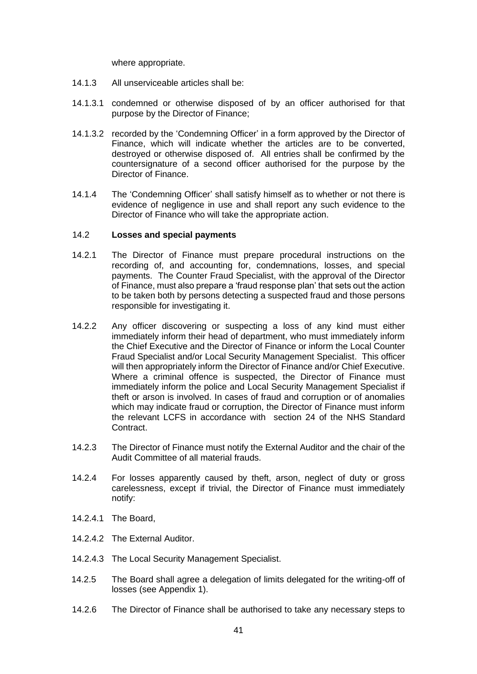where appropriate.

- 14.1.3 All unserviceable articles shall be:
- 14.1.3.1 condemned or otherwise disposed of by an officer authorised for that purpose by the Director of Finance;
- 14.1.3.2 recorded by the 'Condemning Officer' in a form approved by the Director of Finance, which will indicate whether the articles are to be converted, destroyed or otherwise disposed of. All entries shall be confirmed by the countersignature of a second officer authorised for the purpose by the Director of Finance.
- 14.1.4 The 'Condemning Officer' shall satisfy himself as to whether or not there is evidence of negligence in use and shall report any such evidence to the Director of Finance who will take the appropriate action.

#### 14.2 **Losses and special payments**

- 14.2.1 The Director of Finance must prepare procedural instructions on the recording of, and accounting for, condemnations, losses, and special payments. The Counter Fraud Specialist, with the approval of the Director of Finance, must also prepare a 'fraud response plan' that sets out the action to be taken both by persons detecting a suspected fraud and those persons responsible for investigating it.
- 14.2.2 Any officer discovering or suspecting a loss of any kind must either immediately inform their head of department, who must immediately inform the Chief Executive and the Director of Finance or inform the Local Counter Fraud Specialist and/or Local Security Management Specialist. This officer will then appropriately inform the Director of Finance and/or Chief Executive. Where a criminal offence is suspected, the Director of Finance must immediately inform the police and Local Security Management Specialist if theft or arson is involved. In cases of fraud and corruption or of anomalies which may indicate fraud or corruption, the Director of Finance must inform the relevant LCFS in accordance with section 24 of the NHS Standard Contract.
- 14.2.3 The Director of Finance must notify the External Auditor and the chair of the Audit Committee of all material frauds.
- 14.2.4 For losses apparently caused by theft, arson, neglect of duty or gross carelessness, except if trivial, the Director of Finance must immediately notify:
- 14.2.4.1 The Board,
- 14.2.4.2 The External Auditor.
- 14.2.4.3 The Local Security Management Specialist.
- 14.2.5 The Board shall agree a delegation of limits delegated for the writing-off of losses (see Appendix 1).
- 14.2.6 The Director of Finance shall be authorised to take any necessary steps to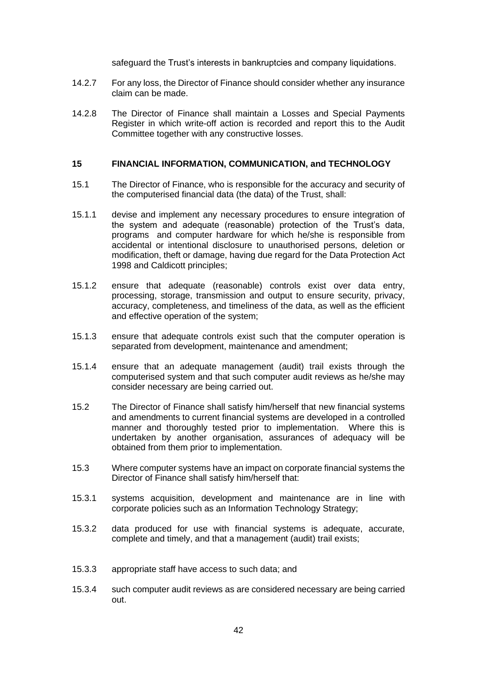safeguard the Trust's interests in bankruptcies and company liquidations.

- 14.2.7 For any loss, the Director of Finance should consider whether any insurance claim can be made.
- 14.2.8 The Director of Finance shall maintain a Losses and Special Payments Register in which write-off action is recorded and report this to the Audit Committee together with any constructive losses.

#### **15 FINANCIAL INFORMATION, COMMUNICATION, and TECHNOLOGY**

- 15.1 The Director of Finance, who is responsible for the accuracy and security of the computerised financial data (the data) of the Trust, shall:
- 15.1.1 devise and implement any necessary procedures to ensure integration of the system and adequate (reasonable) protection of the Trust's data, programs and computer hardware for which he/she is responsible from accidental or intentional disclosure to unauthorised persons, deletion or modification, theft or damage, having due regard for the Data Protection Act 1998 and Caldicott principles;
- 15.1.2 ensure that adequate (reasonable) controls exist over data entry, processing, storage, transmission and output to ensure security, privacy, accuracy, completeness, and timeliness of the data, as well as the efficient and effective operation of the system;
- 15.1.3 ensure that adequate controls exist such that the computer operation is separated from development, maintenance and amendment;
- 15.1.4 ensure that an adequate management (audit) trail exists through the computerised system and that such computer audit reviews as he/she may consider necessary are being carried out.
- 15.2 The Director of Finance shall satisfy him/herself that new financial systems and amendments to current financial systems are developed in a controlled manner and thoroughly tested prior to implementation. Where this is undertaken by another organisation, assurances of adequacy will be obtained from them prior to implementation.
- 15.3 Where computer systems have an impact on corporate financial systems the Director of Finance shall satisfy him/herself that:
- 15.3.1 systems acquisition, development and maintenance are in line with corporate policies such as an Information Technology Strategy;
- 15.3.2 data produced for use with financial systems is adequate, accurate, complete and timely, and that a management (audit) trail exists;
- 15.3.3 appropriate staff have access to such data; and
- 15.3.4 such computer audit reviews as are considered necessary are being carried out.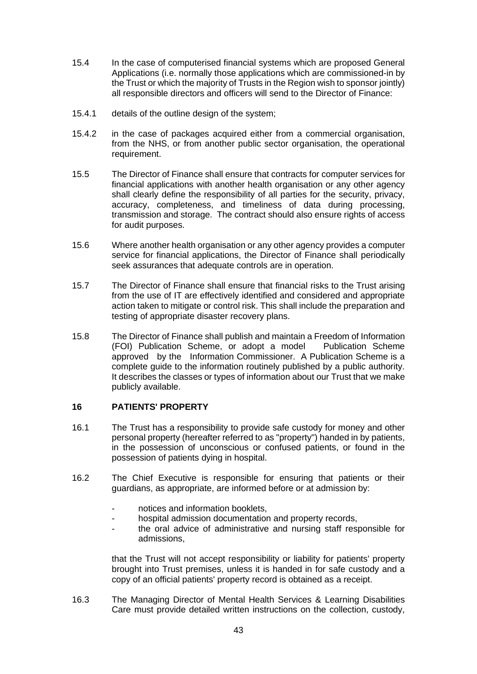- 15.4 In the case of computerised financial systems which are proposed General Applications (i.e. normally those applications which are commissioned-in by the Trust or which the majority of Trusts in the Region wish to sponsor jointly) all responsible directors and officers will send to the Director of Finance:
- 15.4.1 details of the outline design of the system;
- 15.4.2 in the case of packages acquired either from a commercial organisation, from the NHS, or from another public sector organisation, the operational requirement.
- 15.5 The Director of Finance shall ensure that contracts for computer services for financial applications with another health organisation or any other agency shall clearly define the responsibility of all parties for the security, privacy, accuracy, completeness, and timeliness of data during processing, transmission and storage. The contract should also ensure rights of access for audit purposes.
- 15.6 Where another health organisation or any other agency provides a computer service for financial applications, the Director of Finance shall periodically seek assurances that adequate controls are in operation.
- 15.7 The Director of Finance shall ensure that financial risks to the Trust arising from the use of IT are effectively identified and considered and appropriate action taken to mitigate or control risk. This shall include the preparation and testing of appropriate disaster recovery plans.
- 15.8 The Director of Finance shall publish and maintain a Freedom of Information (FOI) Publication Scheme, or adopt a model Publication Scheme approved by the Information Commissioner. A Publication Scheme is a complete guide to the information routinely published by a public authority. It describes the classes or types of information about our Trust that we make publicly available.

#### **16 PATIENTS' PROPERTY**

- 16.1 The Trust has a responsibility to provide safe custody for money and other personal property (hereafter referred to as "property") handed in by patients, in the possession of unconscious or confused patients, or found in the possession of patients dying in hospital.
- 16.2 The Chief Executive is responsible for ensuring that patients or their guardians, as appropriate, are informed before or at admission by:
	- notices and information booklets.
	- hospital admission documentation and property records,
	- the oral advice of administrative and nursing staff responsible for admissions,

that the Trust will not accept responsibility or liability for patients' property brought into Trust premises, unless it is handed in for safe custody and a copy of an official patients' property record is obtained as a receipt.

16.3 The Managing Director of Mental Health Services & Learning Disabilities Care must provide detailed written instructions on the collection, custody,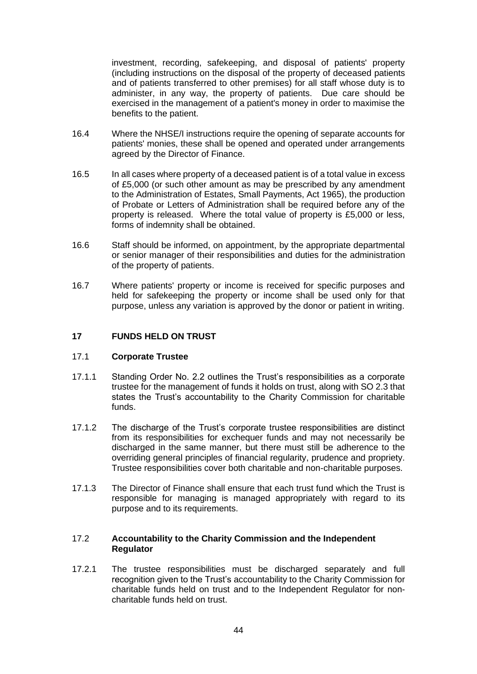investment, recording, safekeeping, and disposal of patients' property (including instructions on the disposal of the property of deceased patients and of patients transferred to other premises) for all staff whose duty is to administer, in any way, the property of patients. Due care should be exercised in the management of a patient's money in order to maximise the benefits to the patient.

- 16.4 Where the NHSE/I instructions require the opening of separate accounts for patients' monies, these shall be opened and operated under arrangements agreed by the Director of Finance.
- 16.5 In all cases where property of a deceased patient is of a total value in excess of £5,000 (or such other amount as may be prescribed by any amendment to the Administration of Estates, Small Payments, Act 1965), the production of Probate or Letters of Administration shall be required before any of the property is released. Where the total value of property is £5,000 or less, forms of indemnity shall be obtained.
- 16.6 Staff should be informed, on appointment, by the appropriate departmental or senior manager of their responsibilities and duties for the administration of the property of patients.
- 16.7 Where patients' property or income is received for specific purposes and held for safekeeping the property or income shall be used only for that purpose, unless any variation is approved by the donor or patient in writing.

### **17 FUNDS HELD ON TRUST**

#### 17.1 **Corporate Trustee**

- 17.1.1 Standing Order No. 2.2 outlines the Trust's responsibilities as a corporate trustee for the management of funds it holds on trust, along with SO 2.3 that states the Trust's accountability to the Charity Commission for charitable funds.
- 17.1.2 The discharge of the Trust's corporate trustee responsibilities are distinct from its responsibilities for exchequer funds and may not necessarily be discharged in the same manner, but there must still be adherence to the overriding general principles of financial regularity, prudence and propriety. Trustee responsibilities cover both charitable and non-charitable purposes.
- 17.1.3 The Director of Finance shall ensure that each trust fund which the Trust is responsible for managing is managed appropriately with regard to its purpose and to its requirements.

#### 17.2 **Accountability to the Charity Commission and the Independent Regulator**

17.2.1 The trustee responsibilities must be discharged separately and full recognition given to the Trust's accountability to the Charity Commission for charitable funds held on trust and to the Independent Regulator for noncharitable funds held on trust.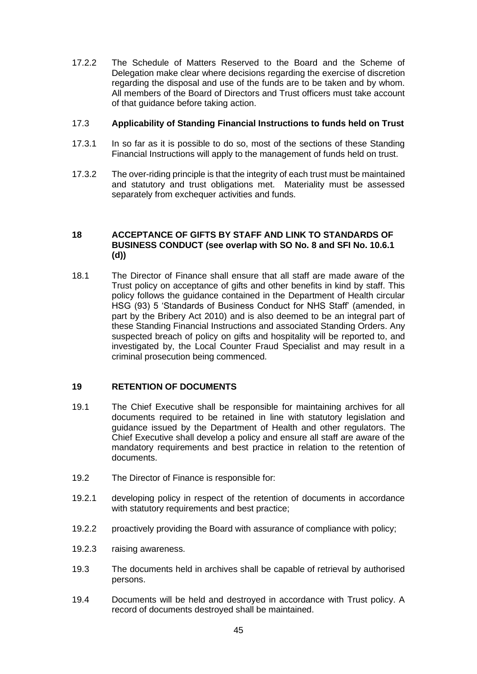17.2.2 The Schedule of Matters Reserved to the Board and the Scheme of Delegation make clear where decisions regarding the exercise of discretion regarding the disposal and use of the funds are to be taken and by whom. All members of the Board of Directors and Trust officers must take account of that guidance before taking action.

#### 17.3 **Applicability of Standing Financial Instructions to funds held on Trust**

- 17.3.1 In so far as it is possible to do so, most of the sections of these Standing Financial Instructions will apply to the management of funds held on trust.
- 17.3.2 The over-riding principle is that the integrity of each trust must be maintained and statutory and trust obligations met. Materiality must be assessed separately from exchequer activities and funds.

#### **18 ACCEPTANCE OF GIFTS BY STAFF AND LINK TO STANDARDS OF BUSINESS CONDUCT (see overlap with SO No. 8 and SFI No. 10.6.1 (d))**

18.1 The Director of Finance shall ensure that all staff are made aware of the Trust policy on acceptance of gifts and other benefits in kind by staff. This policy follows the guidance contained in the Department of Health circular HSG (93) 5 'Standards of Business Conduct for NHS Staff' (amended, in part by the Bribery Act 2010) and is also deemed to be an integral part of these Standing Financial Instructions and associated Standing Orders. Any suspected breach of policy on gifts and hospitality will be reported to, and investigated by, the Local Counter Fraud Specialist and may result in a criminal prosecution being commenced.

#### **19 RETENTION OF DOCUMENTS**

- 19.1 The Chief Executive shall be responsible for maintaining archives for all documents required to be retained in line with statutory legislation and guidance issued by the Department of Health and other regulators. The Chief Executive shall develop a policy and ensure all staff are aware of the mandatory requirements and best practice in relation to the retention of documents.
- 19.2 The Director of Finance is responsible for:
- 19.2.1 developing policy in respect of the retention of documents in accordance with statutory requirements and best practice;
- 19.2.2 proactively providing the Board with assurance of compliance with policy;
- 19.2.3 raising awareness.
- 19.3 The documents held in archives shall be capable of retrieval by authorised persons.
- 19.4 Documents will be held and destroyed in accordance with Trust policy. A record of documents destroyed shall be maintained.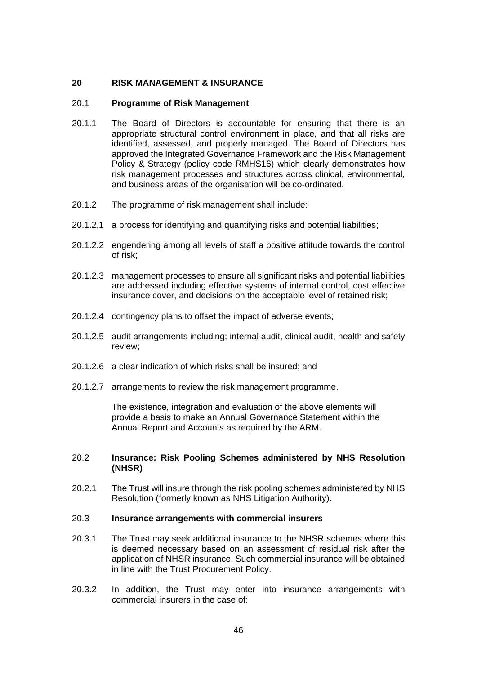#### **20 RISK MANAGEMENT & INSURANCE**

#### 20.1 **Programme of Risk Management**

- 20.1.1 The Board of Directors is accountable for ensuring that there is an appropriate structural control environment in place, and that all risks are identified, assessed, and properly managed. The Board of Directors has approved the Integrated Governance Framework and the Risk Management Policy & Strategy (policy code RMHS16) which clearly demonstrates how risk management processes and structures across clinical, environmental, and business areas of the organisation will be co-ordinated.
- 20.1.2 The programme of risk management shall include:
- 20.1.2.1 a process for identifying and quantifying risks and potential liabilities;
- 20.1.2.2 engendering among all levels of staff a positive attitude towards the control of risk;
- 20.1.2.3 management processes to ensure all significant risks and potential liabilities are addressed including effective systems of internal control, cost effective insurance cover, and decisions on the acceptable level of retained risk;
- 20.1.2.4 contingency plans to offset the impact of adverse events;
- 20.1.2.5 audit arrangements including; internal audit, clinical audit, health and safety review;
- 20.1.2.6 a clear indication of which risks shall be insured; and
- 20.1.2.7 arrangements to review the risk management programme.

The existence, integration and evaluation of the above elements will provide a basis to make an Annual Governance Statement within the Annual Report and Accounts as required by the ARM.

#### 20.2 **Insurance: Risk Pooling Schemes administered by NHS Resolution (NHSR)**

20.2.1 The Trust will insure through the risk pooling schemes administered by NHS Resolution (formerly known as NHS Litigation Authority).

#### 20.3 **Insurance arrangements with commercial insurers**

- 20.3.1 The Trust may seek additional insurance to the NHSR schemes where this is deemed necessary based on an assessment of residual risk after the application of NHSR insurance. Such commercial insurance will be obtained in line with the Trust Procurement Policy.
- 20.3.2 In addition, the Trust may enter into insurance arrangements with commercial insurers in the case of: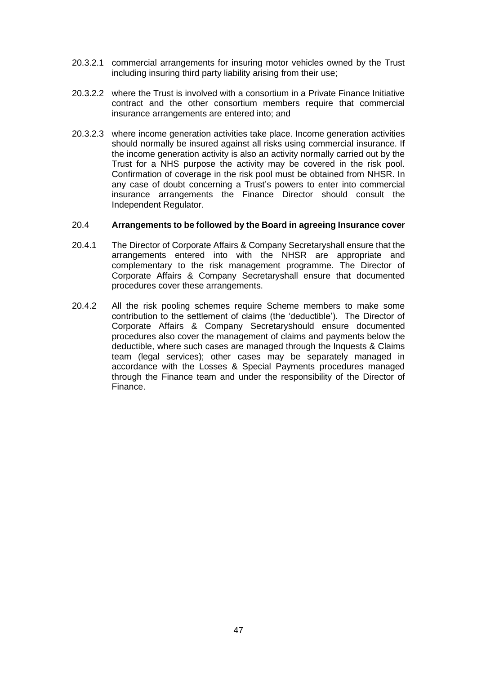- 20.3.2.1 commercial arrangements for insuring motor vehicles owned by the Trust including insuring third party liability arising from their use;
- 20.3.2.2 where the Trust is involved with a consortium in a Private Finance Initiative contract and the other consortium members require that commercial insurance arrangements are entered into; and
- 20.3.2.3 where income generation activities take place. Income generation activities should normally be insured against all risks using commercial insurance. If the income generation activity is also an activity normally carried out by the Trust for a NHS purpose the activity may be covered in the risk pool. Confirmation of coverage in the risk pool must be obtained from NHSR. In any case of doubt concerning a Trust's powers to enter into commercial insurance arrangements the Finance Director should consult the Independent Regulator.

#### 20.4 **Arrangements to be followed by the Board in agreeing Insurance cover**

- 20.4.1 The Director of Corporate Affairs & Company Secretaryshall ensure that the arrangements entered into with the NHSR are appropriate and complementary to the risk management programme. The Director of Corporate Affairs & Company Secretaryshall ensure that documented procedures cover these arrangements.
- 20.4.2 All the risk pooling schemes require Scheme members to make some contribution to the settlement of claims (the 'deductible'). The Director of Corporate Affairs & Company Secretaryshould ensure documented procedures also cover the management of claims and payments below the deductible, where such cases are managed through the Inquests & Claims team (legal services); other cases may be separately managed in accordance with the Losses & Special Payments procedures managed through the Finance team and under the responsibility of the Director of Finance.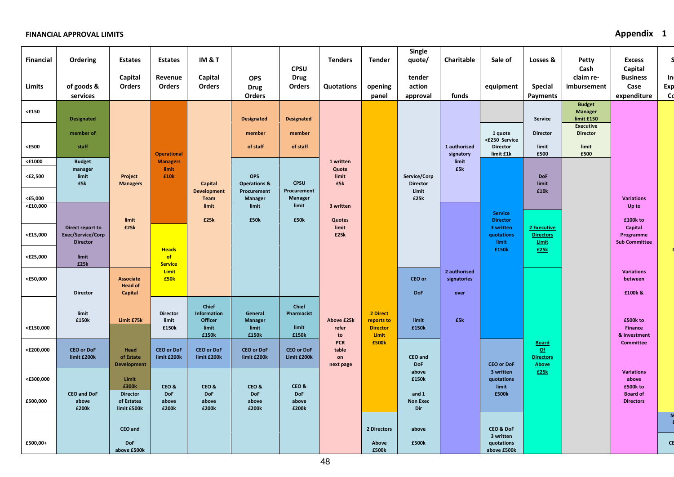| <b>Financial</b><br>Limits       | Ordering<br>of goods &<br>services                       | <b>Estates</b><br>Capital<br>Orders           | <b>Estates</b><br>Revenue<br>Orders  | IM & T<br>Capital<br>Orders            | <b>OPS</b><br><b>Drug</b><br>Orders   | <b>CPSU</b><br><b>Drug</b><br><b>Orders</b> | <b>Tenders</b><br>Quotations           | <b>Tender</b><br>opening<br>panel | Single<br>quote/<br>tender<br>action<br>approval | Charitable<br>funds                 | Sale of<br>equipment                   | Losses &<br><b>Special</b><br><b>Payments</b>     | <b>Petty</b><br>Cash<br>claim re-<br>imbursement                                     | <b>Excess</b><br>Capital<br><b>Business</b><br>Case<br>expenditure | In<br>Exp<br>C <sub>d</sub> |
|----------------------------------|----------------------------------------------------------|-----------------------------------------------|--------------------------------------|----------------------------------------|---------------------------------------|---------------------------------------------|----------------------------------------|-----------------------------------|--------------------------------------------------|-------------------------------------|----------------------------------------|---------------------------------------------------|--------------------------------------------------------------------------------------|--------------------------------------------------------------------|-----------------------------|
| $<$ £150                         | <b>Designated</b><br>member of                           |                                               |                                      |                                        | <b>Designated</b><br>member           | <b>Designated</b><br>member                 |                                        |                                   |                                                  |                                     | 1 quote<br><£250 Service               | Service<br><b>Director</b>                        | <b>Budget</b><br><b>Manager</b><br>limit £150<br><b>Executive</b><br><b>Director</b> |                                                                    |                             |
| <£500                            | staff                                                    |                                               | <b>Operational</b>                   |                                        | of staff                              | of staff                                    |                                        |                                   |                                                  | 1 authorised<br>signatory           | <b>Director</b><br>limit £1k           | limit<br>£500                                     | limit<br>£500                                                                        |                                                                    |                             |
| $<$ $\pounds$ 1000<br>$<$ £2,500 | <b>Budget</b><br>manager<br>limit<br>£5k                 | Project<br><b>Managers</b>                    | <b>Managers</b><br>limit<br>£10k     | Capital                                | <b>OPS</b><br><b>Operations &amp;</b> | <b>CPSU</b>                                 | 1 written<br>Quote<br>limit<br>£5k     |                                   | Service/Corp<br><b>Director</b>                  | limit<br>£5k                        |                                        | <b>DoF</b><br>limit                               |                                                                                      |                                                                    |                             |
| <£5,000                          |                                                          |                                               |                                      | <b>Development</b><br><b>Team</b>      | Procurement<br><b>Manager</b>         | Procurement<br><b>Manager</b><br>limit      |                                        |                                   | Limit<br>£25k                                    |                                     |                                        | £10k                                              |                                                                                      | <b>Variations</b>                                                  |                             |
| <£10,000                         |                                                          | limit                                         |                                      | limit<br>£25k                          | limit<br>£50k                         | £50k                                        | 3 written<br>Quotes                    |                                   |                                                  |                                     | <b>Service</b><br><b>Director</b>      |                                                   |                                                                                      | Up to<br>£100k to                                                  |                             |
| <£15,000                         | Direct report to<br>Exec/Service/Corp<br><b>Director</b> | £25k                                          |                                      |                                        |                                       |                                             | limit<br>£25k                          |                                   |                                                  |                                     | 3 written<br>quotations<br>limit       | 2 Executive<br><b>Directors</b><br><b>Limit</b>   |                                                                                      | Capital<br>Programme<br><b>Sub Committee</b>                       |                             |
| <£25,000                         | limit<br>£25k                                            |                                               | <b>Heads</b><br>of<br><b>Service</b> |                                        |                                       |                                             |                                        |                                   |                                                  |                                     | £150k                                  | £25k                                              |                                                                                      |                                                                    |                             |
| <£50,000                         | <b>Director</b>                                          | <b>Associate</b><br><b>Head of</b><br>Capital | <b>Limit</b><br><b>£50k</b>          |                                        |                                       |                                             |                                        |                                   | CEO or<br><b>DoF</b>                             | 2 authorised<br>signatories<br>over |                                        |                                                   |                                                                                      | <b>Variations</b><br>between<br>£100k &                            |                             |
|                                  | limit<br>£150k                                           | Limit £75k                                    | <b>Director</b><br>limit             | Chief<br>Information<br><b>Officer</b> | General<br><b>Manager</b>             | Chief<br>Pharmacist                         | Above £25k                             | 2 Direct<br>reports to            | limit                                            | £5k                                 |                                        |                                                   |                                                                                      | £500k to                                                           |                             |
| <£150,000                        |                                                          |                                               | £150k                                | limit<br>£150k                         | limit<br>£150k                        | limit<br>£150k                              | refer<br>to                            | <b>Director</b><br><b>Limit</b>   | £150k                                            |                                     |                                        |                                                   |                                                                                      | <b>Finance</b><br>& Investment                                     |                             |
| <£200,000                        | <b>CEO or DoF</b><br>limit £200k                         | Head<br>of Estate<br><b>Development</b>       | <b>CEO or DoF</b><br>limit £200k     | <b>CEO or DoF</b><br>limit £200k       | <b>CEO or DoF</b><br>limit £200k      | <b>CEO or DoF</b><br>Limit £200k            | <b>PCR</b><br>table<br>on<br>next page | £500k                             | CEO and<br><b>DoF</b>                            |                                     | <b>CEO or DoF</b>                      | <b>Board</b><br>$of$<br><b>Directors</b><br>Above |                                                                                      | <b>Committee</b>                                                   |                             |
| <£300,000                        |                                                          | Limit<br>£300k                                | CEO&                                 | CEO&                                   | CEO&                                  | CEO&                                        |                                        |                                   | above<br>£150k                                   |                                     | 3 written<br>quotations<br>limit       | £25k                                              |                                                                                      | <b>Variations</b><br>above<br>£500k to                             |                             |
| £500,000                         | <b>CEO and DoF</b><br>above<br>£200k                     | <b>Director</b><br>of Estates<br>limit £500k  | <b>DoF</b><br>above<br>£200k         | <b>DoF</b><br>above<br>£200k           | <b>DoF</b><br>above<br>£200k          | <b>DoF</b><br>above<br>£200k                |                                        |                                   | and 1<br><b>Non Exec</b><br>Dir                  |                                     | £500k                                  |                                                   |                                                                                      | <b>Board of</b><br><b>Directors</b>                                |                             |
|                                  |                                                          | CEO and                                       |                                      |                                        |                                       |                                             |                                        | 2 Directors                       | above                                            |                                     | <b>CEO &amp; DoF</b>                   |                                                   |                                                                                      |                                                                    | Z                           |
| £500,00+                         |                                                          | <b>DoF</b><br>above £500k                     |                                      |                                        |                                       |                                             |                                        | Above<br>£500k                    | £500k                                            |                                     | 3 written<br>quotations<br>above £500k |                                                   |                                                                                      |                                                                    | CE                          |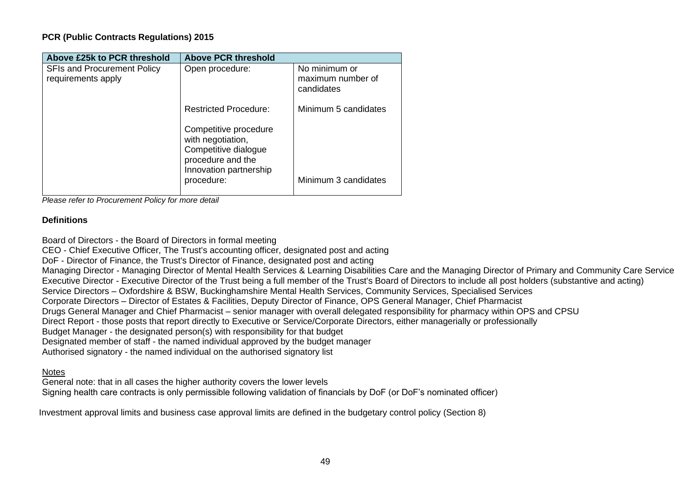| Above £25k to PCR threshold                              | <b>Above PCR threshold</b>                                                                                        |                                                  |
|----------------------------------------------------------|-------------------------------------------------------------------------------------------------------------------|--------------------------------------------------|
| <b>SFIs and Procurement Policy</b><br>requirements apply | Open procedure:                                                                                                   | No minimum or<br>maximum number of<br>candidates |
|                                                          | <b>Restricted Procedure:</b>                                                                                      | Minimum 5 candidates                             |
|                                                          | Competitive procedure<br>with negotiation,<br>Competitive dialogue<br>procedure and the<br>Innovation partnership |                                                  |
|                                                          | procedure:                                                                                                        | Minimum 3 candidates                             |

*Please refer to Procurement Policy for more detail*

### **Definitions**

Board of Directors - the Board of Directors in formal meeting CEO - Chief Executive Officer, The Trust's accounting officer, designated post and acting DoF - Director of Finance, the Trust's Director of Finance, designated post and acting Managing Director - Managing Director of Mental Health Services & Learning Disabilities Care and the Managing Director of Primary and Community Care Service Executive Director - Executive Director of the Trust being a full member of the Trust's Board of Directors to include all post holders (substantive and acting) Service Directors – Oxfordshire & BSW, Buckinghamshire Mental Health Services, Community Services, Specialised Services Corporate Directors – Director of Estates & Facilities, Deputy Director of Finance, OPS General Manager, Chief Pharmacist Drugs General Manager and Chief Pharmacist – senior manager with overall delegated responsibility for pharmacy within OPS and CPSU Direct Report - those posts that report directly to Executive or Service/Corporate Directors, either managerially or professionally Budget Manager - the designated person(s) with responsibility for that budget Designated member of staff - the named individual approved by the budget manager Authorised signatory - the named individual on the authorised signatory list

### **Notes**

General note: that in all cases the higher authority covers the lower levels Signing health care contracts is only permissible following validation of financials by DoF (or DoF's nominated officer)

Investment approval limits and business case approval limits are defined in the budgetary control policy (Section 8)